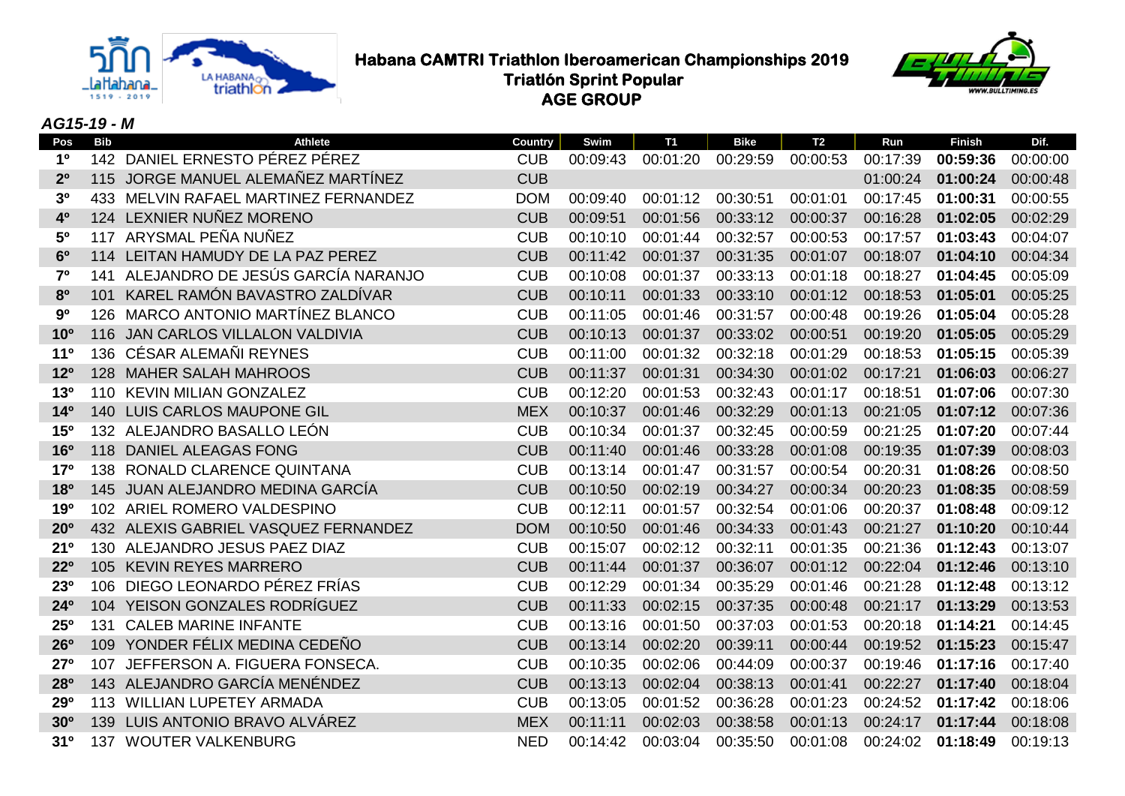

**Habana CAMTRI Triathlon Iberoamerican Championships 2019**<br>Triatlon Sprint Popular<br>Conservation Conservation Conservation Sprince Conservation of Conservation Conservation of Conservation of Conservation of Conservation of  **Triatlón Sprint Popular AGE GROUP**



# *AG15-19 - M*

| <b>Bib</b> | <b>Athlete</b>                | Country                                                                                                                                                                                                                                                                                                                                                                                                                                                                                                                                                                                                                                                                                                                                                                                                                                                                                                                                                                                             | Swim     | <b>T1</b> | <b>Bike</b> | T2       | Run      | <b>Finish</b> | Dif.     |
|------------|-------------------------------|-----------------------------------------------------------------------------------------------------------------------------------------------------------------------------------------------------------------------------------------------------------------------------------------------------------------------------------------------------------------------------------------------------------------------------------------------------------------------------------------------------------------------------------------------------------------------------------------------------------------------------------------------------------------------------------------------------------------------------------------------------------------------------------------------------------------------------------------------------------------------------------------------------------------------------------------------------------------------------------------------------|----------|-----------|-------------|----------|----------|---------------|----------|
|            |                               | <b>CUB</b>                                                                                                                                                                                                                                                                                                                                                                                                                                                                                                                                                                                                                                                                                                                                                                                                                                                                                                                                                                                          | 00:09:43 | 00:01:20  | 00:29:59    | 00:00:53 | 00:17:39 | 00:59:36      | 00:00:00 |
|            |                               | <b>CUB</b>                                                                                                                                                                                                                                                                                                                                                                                                                                                                                                                                                                                                                                                                                                                                                                                                                                                                                                                                                                                          |          |           |             |          | 01:00:24 | 01:00:24      | 00:00:48 |
| 433        |                               | <b>DOM</b>                                                                                                                                                                                                                                                                                                                                                                                                                                                                                                                                                                                                                                                                                                                                                                                                                                                                                                                                                                                          | 00:09:40 | 00:01:12  | 00:30:51    | 00:01:01 | 00:17:45 | 01:00:31      | 00:00:55 |
|            |                               | <b>CUB</b>                                                                                                                                                                                                                                                                                                                                                                                                                                                                                                                                                                                                                                                                                                                                                                                                                                                                                                                                                                                          | 00:09:51 | 00:01:56  | 00:33:12    | 00:00:37 | 00:16:28 | 01:02:05      | 00:02:29 |
|            |                               | <b>CUB</b>                                                                                                                                                                                                                                                                                                                                                                                                                                                                                                                                                                                                                                                                                                                                                                                                                                                                                                                                                                                          | 00:10:10 | 00:01:44  | 00:32:57    | 00:00:53 | 00:17:57 | 01:03:43      | 00:04:07 |
|            |                               | <b>CUB</b>                                                                                                                                                                                                                                                                                                                                                                                                                                                                                                                                                                                                                                                                                                                                                                                                                                                                                                                                                                                          | 00:11:42 | 00:01:37  | 00:31:35    | 00:01:07 | 00:18:07 | 01:04:10      | 00:04:34 |
| 141        |                               | <b>CUB</b>                                                                                                                                                                                                                                                                                                                                                                                                                                                                                                                                                                                                                                                                                                                                                                                                                                                                                                                                                                                          | 00:10:08 | 00:01:37  | 00:33:13    | 00:01:18 | 00:18:27 | 01:04:45      | 00:05:09 |
| 101        | KAREL RAMÓN BAVASTRO ZALDÍVAR | <b>CUB</b>                                                                                                                                                                                                                                                                                                                                                                                                                                                                                                                                                                                                                                                                                                                                                                                                                                                                                                                                                                                          | 00:10:11 | 00:01:33  | 00:33:10    | 00:01:12 | 00:18:53 | 01:05:01      | 00:05:25 |
|            |                               | <b>CUB</b>                                                                                                                                                                                                                                                                                                                                                                                                                                                                                                                                                                                                                                                                                                                                                                                                                                                                                                                                                                                          | 00:11:05 | 00:01:46  | 00:31:57    | 00:00:48 | 00:19:26 | 01:05:04      | 00:05:28 |
|            |                               | <b>CUB</b>                                                                                                                                                                                                                                                                                                                                                                                                                                                                                                                                                                                                                                                                                                                                                                                                                                                                                                                                                                                          | 00:10:13 | 00:01:37  | 00:33:02    | 00:00:51 | 00:19:20 | 01:05:05      | 00:05:29 |
|            |                               | <b>CUB</b>                                                                                                                                                                                                                                                                                                                                                                                                                                                                                                                                                                                                                                                                                                                                                                                                                                                                                                                                                                                          | 00:11:00 | 00:01:32  | 00:32:18    | 00:01:29 | 00:18:53 | 01:05:15      | 00:05:39 |
|            |                               | <b>CUB</b>                                                                                                                                                                                                                                                                                                                                                                                                                                                                                                                                                                                                                                                                                                                                                                                                                                                                                                                                                                                          | 00:11:37 | 00:01:31  | 00:34:30    | 00:01:02 | 00:17:21 | 01:06:03      | 00:06:27 |
|            |                               | <b>CUB</b>                                                                                                                                                                                                                                                                                                                                                                                                                                                                                                                                                                                                                                                                                                                                                                                                                                                                                                                                                                                          | 00:12:20 | 00:01:53  | 00:32:43    | 00:01:17 | 00:18:51 | 01:07:06      | 00:07:30 |
|            |                               | <b>MEX</b>                                                                                                                                                                                                                                                                                                                                                                                                                                                                                                                                                                                                                                                                                                                                                                                                                                                                                                                                                                                          | 00:10:37 | 00:01:46  | 00:32:29    | 00:01:13 | 00:21:05 | 01:07:12      | 00:07:36 |
|            |                               | <b>CUB</b>                                                                                                                                                                                                                                                                                                                                                                                                                                                                                                                                                                                                                                                                                                                                                                                                                                                                                                                                                                                          | 00:10:34 | 00:01:37  | 00:32:45    | 00:00:59 | 00:21:25 | 01:07:20      | 00:07:44 |
|            |                               | <b>CUB</b>                                                                                                                                                                                                                                                                                                                                                                                                                                                                                                                                                                                                                                                                                                                                                                                                                                                                                                                                                                                          | 00:11:40 | 00:01:46  | 00:33:28    | 00:01:08 | 00:19:35 | 01:07:39      | 00:08:03 |
|            |                               | <b>CUB</b>                                                                                                                                                                                                                                                                                                                                                                                                                                                                                                                                                                                                                                                                                                                                                                                                                                                                                                                                                                                          | 00:13:14 | 00:01:47  | 00:31:57    | 00:00:54 | 00:20:31 | 01:08:26      | 00:08:50 |
|            |                               | <b>CUB</b>                                                                                                                                                                                                                                                                                                                                                                                                                                                                                                                                                                                                                                                                                                                                                                                                                                                                                                                                                                                          | 00:10:50 | 00:02:19  | 00:34:27    | 00:00:34 | 00:20:23 | 01:08:35      | 00:08:59 |
|            |                               | <b>CUB</b>                                                                                                                                                                                                                                                                                                                                                                                                                                                                                                                                                                                                                                                                                                                                                                                                                                                                                                                                                                                          | 00:12:11 | 00:01:57  | 00:32:54    | 00:01:06 | 00:20:37 | 01:08:48      | 00:09:12 |
|            |                               | <b>DOM</b>                                                                                                                                                                                                                                                                                                                                                                                                                                                                                                                                                                                                                                                                                                                                                                                                                                                                                                                                                                                          | 00:10:50 | 00:01:46  | 00:34:33    | 00:01:43 | 00:21:27 | 01:10:20      | 00:10:44 |
|            |                               | <b>CUB</b>                                                                                                                                                                                                                                                                                                                                                                                                                                                                                                                                                                                                                                                                                                                                                                                                                                                                                                                                                                                          | 00:15:07 | 00:02:12  | 00:32:11    | 00:01:35 | 00:21:36 | 01:12:43      | 00:13:07 |
|            |                               | <b>CUB</b>                                                                                                                                                                                                                                                                                                                                                                                                                                                                                                                                                                                                                                                                                                                                                                                                                                                                                                                                                                                          | 00:11:44 | 00:01:37  | 00:36:07    | 00:01:12 | 00:22:04 | 01:12:46      | 00:13:10 |
|            |                               | <b>CUB</b>                                                                                                                                                                                                                                                                                                                                                                                                                                                                                                                                                                                                                                                                                                                                                                                                                                                                                                                                                                                          | 00:12:29 | 00:01:34  | 00:35:29    | 00:01:46 | 00:21:28 | 01:12:48      | 00:13:12 |
|            |                               | <b>CUB</b>                                                                                                                                                                                                                                                                                                                                                                                                                                                                                                                                                                                                                                                                                                                                                                                                                                                                                                                                                                                          | 00:11:33 | 00:02:15  | 00:37:35    | 00:00:48 | 00:21:17 | 01:13:29      | 00:13:53 |
| 131        |                               | <b>CUB</b>                                                                                                                                                                                                                                                                                                                                                                                                                                                                                                                                                                                                                                                                                                                                                                                                                                                                                                                                                                                          | 00:13:16 | 00:01:50  | 00:37:03    | 00:01:53 | 00:20:18 | 01:14:21      | 00:14:45 |
|            |                               | <b>CUB</b>                                                                                                                                                                                                                                                                                                                                                                                                                                                                                                                                                                                                                                                                                                                                                                                                                                                                                                                                                                                          | 00:13:14 | 00:02:20  | 00:39:11    | 00:00:44 | 00:19:52 | 01:15:23      | 00:15:47 |
| 107        |                               | <b>CUB</b>                                                                                                                                                                                                                                                                                                                                                                                                                                                                                                                                                                                                                                                                                                                                                                                                                                                                                                                                                                                          | 00:10:35 | 00:02:06  | 00:44:09    | 00:00:37 | 00:19:46 | 01:17:16      | 00:17:40 |
|            |                               | <b>CUB</b>                                                                                                                                                                                                                                                                                                                                                                                                                                                                                                                                                                                                                                                                                                                                                                                                                                                                                                                                                                                          | 00:13:13 | 00:02:04  | 00:38:13    | 00:01:41 | 00:22:27 | 01:17:40      | 00:18:04 |
|            |                               | <b>CUB</b>                                                                                                                                                                                                                                                                                                                                                                                                                                                                                                                                                                                                                                                                                                                                                                                                                                                                                                                                                                                          | 00:13:05 | 00:01:52  | 00:36:28    | 00:01:23 | 00:24:52 | 01:17:42      | 00:18:06 |
|            |                               | <b>MEX</b>                                                                                                                                                                                                                                                                                                                                                                                                                                                                                                                                                                                                                                                                                                                                                                                                                                                                                                                                                                                          | 00:11:11 | 00:02:03  | 00:38:58    | 00:01:13 | 00:24:17 | 01:17:44      | 00:18:08 |
|            |                               | <b>NED</b>                                                                                                                                                                                                                                                                                                                                                                                                                                                                                                                                                                                                                                                                                                                                                                                                                                                                                                                                                                                          | 00:14:42 | 00:03:04  | 00:35:50    | 00:01:08 | 00:24:02 | 01:18:49      | 00:19:13 |
|            |                               | 142 DANIEL ERNESTO PÉREZ PÉREZ<br>115 JORGE MANUEL ALEMAÑEZ MARTÍNEZ<br>MELVIN RAFAEL MARTINEZ FERNANDEZ<br>124 LEXNIER NUÑEZ MORENO<br>117 ARYSMAL PEÑA NUÑEZ<br>114 LEITAN HAMUDY DE LA PAZ PEREZ<br>ALEJANDRO DE JESÚS GARCÍA NARANJO<br>126 MARCO ANTONIO MARTÍNEZ BLANCO<br>116 JAN CARLOS VILLALON VALDIVIA<br>136 CÉSAR ALEMAÑI REYNES<br>128 MAHER SALAH MAHROOS<br>110 KEVIN MILIAN GONZALEZ<br>140 LUIS CARLOS MAUPONE GIL<br>132 ALEJANDRO BASALLO LEÓN<br>118 DANIEL ALEAGAS FONG<br>138 RONALD CLARENCE QUINTANA<br>145 JUAN ALEJANDRO MEDINA GARCÍA<br>102 ARIEL ROMERO VALDESPINO<br>432 ALEXIS GABRIEL VASQUEZ FERNANDEZ<br>130 ALEJANDRO JESUS PAEZ DIAZ<br>105 KEVIN REYES MARRERO<br>106 DIEGO LEONARDO PÉREZ FRÍAS<br>104 YEISON GONZALES RODRÍGUEZ<br><b>CALEB MARINE INFANTE</b><br>109 YONDER FÉLIX MEDINA CEDEÑO<br>JEFFERSON A. FIGUERA FONSECA.<br>143 ALEJANDRO GARCÍA MENÉNDEZ<br>113 WILLIAN LUPETEY ARMADA<br>139 LUIS ANTONIO BRAVO ALVÁREZ<br>137 WOUTER VALKENBURG |          |           |             |          |          |               |          |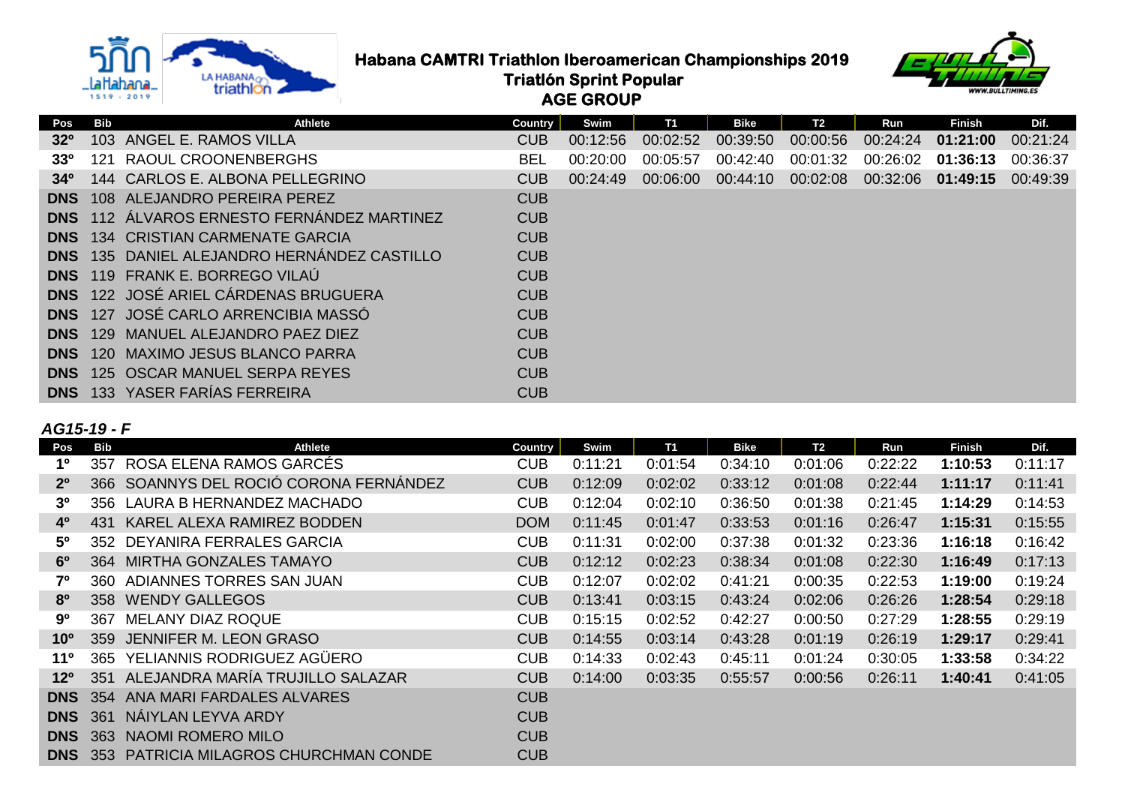

**Habana CAMTRI Triathlon Iberoamerican Championships 2019**<br>Triatlon Sprint Popular<br>Conservation Conservation Conservation Sprince Conservation of Conservation Conservation of Conservation of Conservation of Conservation of

 **Triatlón Sprint Popular**

 **AGE GROUP**



| Pos             | Bib | <b>Athlete</b>                              | Country    | Swim     | T1       | Bike     | T2       | Run      | <b>Finish</b> | Dif.     |
|-----------------|-----|---------------------------------------------|------------|----------|----------|----------|----------|----------|---------------|----------|
| 32 <sup>o</sup> |     | 103 ANGEL E. RAMOS VILLA                    | <b>CUB</b> | 00:12:56 | 00:02:52 | 00:39:50 | 00:00:56 | 00:24:24 | 01:21:00      | 00:21:24 |
| 33 <sup>o</sup> | 121 | RAOUL CROONENBERGHS                         | <b>BEL</b> | 00:20:00 | 00:05:57 | 00:42:40 | 00:01:32 | 00:26:02 | 01:36:13      | 00:36:37 |
| 34 <sup>0</sup> |     | 144 CARLOS E. ALBONA PELLEGRINO             | <b>CUB</b> | 00:24:49 | 00:06:00 | 00:44:10 | 00:02:08 | 00:32:06 | 01:49:15      | 00:49:39 |
| <b>DNS</b>      |     | 108 ALEJANDRO PEREIRA PEREZ                 | <b>CUB</b> |          |          |          |          |          |               |          |
| <b>DNS</b>      |     | 112 ÁLVAROS ERNESTO FERNÁNDEZ MARTINEZ      | <b>CUB</b> |          |          |          |          |          |               |          |
| <b>DNS</b>      |     | 134 CRISTIAN CARMENATE GARCIA               | <b>CUB</b> |          |          |          |          |          |               |          |
| <b>DNS</b>      |     | 135 DANIEL ALEJANDRO HERNÁNDEZ CASTILLO     | <b>CUB</b> |          |          |          |          |          |               |          |
| <b>DNS</b>      |     | 119 FRANK E. BORREGO VILAÚ                  | <b>CUB</b> |          |          |          |          |          |               |          |
|                 |     | <b>DNS</b> 122 JOSÉ ARIEL CÁRDENAS BRUGUERA | <b>CUB</b> |          |          |          |          |          |               |          |
| <b>DNS</b>      |     | 127 JOSÉ CARLO ARRENCIBIA MASSÓ             | <b>CUB</b> |          |          |          |          |          |               |          |
| <b>DNS</b>      |     | 129 MANUEL ALEJANDRO PAEZ DIEZ              | <b>CUB</b> |          |          |          |          |          |               |          |
| <b>DNS</b>      |     | 120 MAXIMO JESUS BLANCO PARRA               | <b>CUB</b> |          |          |          |          |          |               |          |
| <b>DNS</b>      |     | 125 OSCAR MANUEL SERPA REYES                | <b>CUB</b> |          |          |          |          |          |               |          |
|                 |     | <b>DNS</b> 133 YASER FARÍAS FERREIRA        | <b>CUB</b> |          |          |          |          |          |               |          |

#### *AG15-19 - F*

| Pos             | Bib | <b>Athlete</b>                     | Country    | Swim    | <b>T1</b> | <b>Bike</b> | <b>T2</b> | Run     | <b>Finish</b> | Dif.    |
|-----------------|-----|------------------------------------|------------|---------|-----------|-------------|-----------|---------|---------------|---------|
| 1 <sup>0</sup>  | 357 | ROSA ELENA RAMOS GARCÉS            | <b>CUB</b> | 0:11:21 | 0:01:54   | 0:34:10     | 0:01:06   | 0:22:22 | 1:10:53       | 0:11:17 |
| 2 <sup>0</sup>  | 366 | SOANNYS DEL ROCIÓ CORONA FERNÁNDEZ | <b>CUB</b> | 0:12:09 | 0:02:02   | 0:33:12     | 0:01:08   | 0:22:44 | 1:11:17       | 0:11:41 |
| 3 <sup>o</sup>  | 356 | LAURA B HERNANDEZ MACHADO          | <b>CUB</b> | 0:12:04 | 0:02:10   | 0:36:50     | 0:01:38   | 0:21:45 | 1:14:29       | 0:14:53 |
| 4 <sup>0</sup>  | 431 | KAREL ALEXA RAMIREZ BODDEN         | <b>DOM</b> | 0:11:45 | 0:01:47   | 0:33:53     | 0:01:16   | 0:26:47 | 1:15:31       | 0:15:55 |
| $5^{\circ}$     |     | 352 DEYANIRA FERRALES GARCIA       | <b>CUB</b> | 0:11:31 | 0:02:00   | 0:37:38     | 0:01:32   | 0:23:36 | 1:16:18       | 0:16:42 |
| 6 <sup>o</sup>  | 364 | <b>MIRTHA GONZALES TAMAYO</b>      | <b>CUB</b> | 0:12:12 | 0:02:23   | 0:38:34     | 0:01:08   | 0:22:30 | 1:16:49       | 0:17:13 |
| 70              | 360 | ADIANNES TORRES SAN JUAN           | <b>CUB</b> | 0:12:07 | 0:02:02   | 0:41:21     | 0:00:35   | 0:22:53 | 1:19:00       | 0:19:24 |
| 80              |     | 358 WENDY GALLEGOS                 | <b>CUB</b> | 0:13:41 | 0:03:15   | 0:43:24     | 0:02:06   | 0:26:26 | 1:28:54       | 0:29:18 |
| 90              | 367 | <b>MELANY DIAZ ROQUE</b>           | <b>CUB</b> | 0:15:15 | 0:02:52   | 0:42:27     | 0:00:50   | 0:27:29 | 1:28:55       | 0:29:19 |
| 10 <sup>o</sup> | 359 | <b>JENNIFER M. LEON GRASO</b>      | <b>CUB</b> | 0:14:55 | 0:03:14   | 0:43:28     | 0:01:19   | 0:26:19 | 1:29:17       | 0:29:41 |
| $11^{\circ}$    | 365 | YELIANNIS RODRIGUEZ AGÜERO         | <b>CUB</b> | 0:14:33 | 0:02:43   | 0:45:11     | 0:01:24   | 0:30:05 | 1:33:58       | 0:34:22 |
| 12 <sup>o</sup> | 351 | ALEJANDRA MARÍA TRUJILLO SALAZAR   | <b>CUB</b> | 0:14:00 | 0:03:35   | 0:55:57     | 0:00:56   | 0:26:11 | 1:40:41       | 0:41:05 |
| <b>DNS</b>      | 354 | ANA MARI FARDALES ALVARES          | <b>CUB</b> |         |           |             |           |         |               |         |
| <b>DNS</b>      | 361 | NÁIYLAN LEYVA ARDY                 | <b>CUB</b> |         |           |             |           |         |               |         |
| <b>DNS</b>      | 363 | <b>NAOMI ROMERO MILO</b>           | <b>CUB</b> |         |           |             |           |         |               |         |
| <b>DNS</b>      | 353 | PATRICIA MILAGROS CHURCHMAN CONDE  | <b>CUB</b> |         |           |             |           |         |               |         |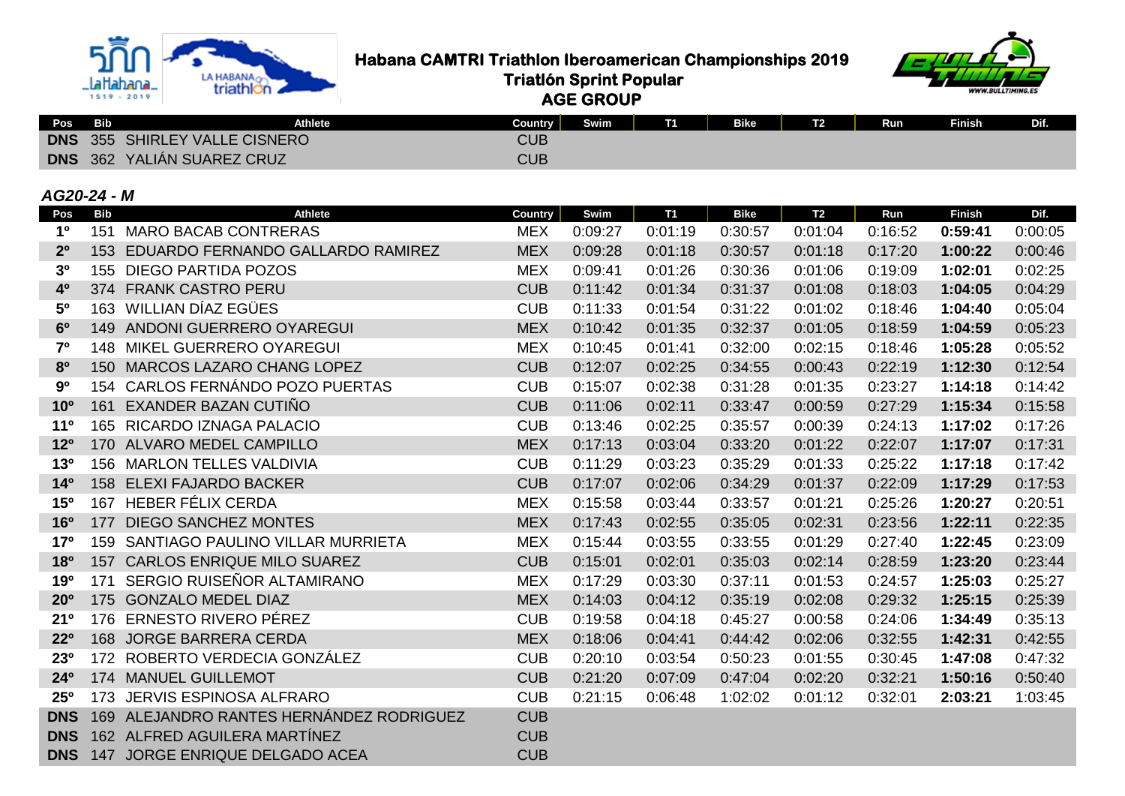

**Habana CAMTRI Triathlon Iberoamerican Championships 2019**<br>triathlon

 **Triatlón Sprint Popular**



 **AGE GROUP**

| Pos | <b>Bib</b> | <b>Athlete</b>                       | Country | Swim | T <sub>1</sub> | <b>Bike</b> | T <sub>2</sub> | <b>Run</b> | <b>Finish</b> | Dif. |
|-----|------------|--------------------------------------|---------|------|----------------|-------------|----------------|------------|---------------|------|
|     |            | <b>DNS</b> 355 SHIRLEY VALLE CISNERO | CUB     |      |                |             |                |            |               |      |
|     |            | <b>DNS</b> 362 YALIÁN SUAREZ CRUZ    | CUB     |      |                |             |                |            |               |      |

#### *AG20-24 - M*

| Pos                   | <b>Bib</b> | <b>Athlete</b>                            | Country    | Swim    | <b>T1</b> | <b>Bike</b> | T <sub>2</sub> | Run     | <b>Finish</b> | Dif.    |
|-----------------------|------------|-------------------------------------------|------------|---------|-----------|-------------|----------------|---------|---------------|---------|
| 1 <sup>0</sup>        | 151        | <b>MARO BACAB CONTRERAS</b>               | <b>MEX</b> | 0:09:27 | 0:01:19   | 0:30:57     | 0:01:04        | 0:16:52 | 0:59:41       | 0:00:05 |
| 2 <sup>o</sup>        |            | 153 EDUARDO FERNANDO GALLARDO RAMIREZ     | <b>MEX</b> | 0:09:28 | 0:01:18   | 0:30:57     | 0:01:18        | 0:17:20 | 1:00:22       | 0:00:46 |
| 3 <sup>0</sup>        |            | 155 DIEGO PARTIDA POZOS                   | <b>MEX</b> | 0:09:41 | 0:01:26   | 0:30:36     | 0:01:06        | 0:19:09 | 1:02:01       | 0:02:25 |
| 40                    |            | 374 FRANK CASTRO PERU                     | <b>CUB</b> | 0:11:42 | 0:01:34   | 0:31:37     | 0:01:08        | 0:18:03 | 1:04:05       | 0:04:29 |
| 50                    |            | 163 WILLIAN DÍAZ EGÜES                    | <b>CUB</b> | 0:11:33 | 0:01:54   | 0:31:22     | 0:01:02        | 0:18:46 | 1:04:40       | 0:05:04 |
| 6 <sup>o</sup>        |            | 149 ANDONI GUERRERO OYAREGUI              | <b>MEX</b> | 0:10:42 | 0:01:35   | 0:32:37     | 0:01:05        | 0:18:59 | 1:04:59       | 0:05:23 |
| 7 <sup>0</sup>        |            | <b>148 MIKEL GUERRERO OYAREGUI</b>        | <b>MEX</b> | 0:10:45 | 0:01:41   | 0:32:00     | 0:02:15        | 0:18:46 | 1:05:28       | 0:05:52 |
| 80                    |            | 150 MARCOS LAZARO CHANG LOPEZ             | <b>CUB</b> | 0:12:07 | 0:02:25   | 0:34:55     | 0:00:43        | 0:22:19 | 1:12:30       | 0:12:54 |
| 90                    |            | 154 CARLOS FERNÁNDO POZO PUERTAS          | <b>CUB</b> | 0:15:07 | 0:02:38   | 0:31:28     | 0:01:35        | 0:23:27 | 1:14:18       | 0:14:42 |
| 10 <sup>o</sup>       | 161        | EXANDER BAZAN CUTIÑO                      | <b>CUB</b> | 0:11:06 | 0:02:11   | 0:33:47     | 0:00:59        | 0:27:29 | 1:15:34       | 0:15:58 |
| 11 <sup>0</sup>       |            | 165 RICARDO IZNAGA PALACIO                | <b>CUB</b> | 0:13:46 | 0:02:25   | 0:35:57     | 0:00:39        | 0:24:13 | 1:17:02       | 0:17:26 |
| 12 <sup>o</sup>       |            | 170 ALVARO MEDEL CAMPILLO                 | <b>MEX</b> | 0:17:13 | 0:03:04   | 0:33:20     | 0:01:22        | 0:22:07 | 1:17:07       | 0:17:31 |
| 13 <sup>o</sup>       |            | 156 MARLON TELLES VALDIVIA                | <b>CUB</b> | 0:11:29 | 0:03:23   | 0:35:29     | 0:01:33        | 0:25:22 | 1:17:18       | 0:17:42 |
| 14 <sup>0</sup>       |            | 158 ELEXI FAJARDO BACKER                  | <b>CUB</b> | 0:17:07 | 0:02:06   | 0:34:29     | 0:01:37        | 0:22:09 | 1:17:29       | 0:17:53 |
| 15 <sup>o</sup>       |            | 167 HEBER FÉLIX CERDA                     | <b>MEX</b> | 0:15:58 | 0:03:44   | 0:33:57     | 0:01:21        | 0:25:26 | 1:20:27       | 0:20:51 |
| <b>16<sup>o</sup></b> | 177        | <b>DIEGO SANCHEZ MONTES</b>               | <b>MEX</b> | 0:17:43 | 0:02:55   | 0:35:05     | 0:02:31        | 0:23:56 | 1:22:11       | 0:22:35 |
| 17 <sup>o</sup>       |            | 159 SANTIAGO PAULINO VILLAR MURRIETA      | <b>MEX</b> | 0:15:44 | 0:03:55   | 0:33:55     | 0:01:29        | 0:27:40 | 1:22:45       | 0:23:09 |
| <b>18º</b>            |            | 157 CARLOS ENRIQUE MILO SUAREZ            | <b>CUB</b> | 0:15:01 | 0:02:01   | 0:35:03     | 0:02:14        | 0:28:59 | 1:23:20       | 0:23:44 |
| 190                   | 171        | SERGIO RUISEÑOR ALTAMIRANO                | <b>MEX</b> | 0:17:29 | 0:03:30   | 0:37:11     | 0:01:53        | 0:24:57 | 1:25:03       | 0:25:27 |
| 20 <sup>o</sup>       |            | 175 GONZALO MEDEL DIAZ                    | <b>MEX</b> | 0:14:03 | 0:04:12   | 0:35:19     | 0:02:08        | 0:29:32 | 1:25:15       | 0:25:39 |
| 21 <sup>o</sup>       |            | 176 ERNESTO RIVERO PÉREZ                  | <b>CUB</b> | 0:19:58 | 0:04:18   | 0:45:27     | 0:00:58        | 0:24:06 | 1:34:49       | 0:35:13 |
| $22^{\circ}$          |            | 168 JORGE BARRERA CERDA                   | <b>MEX</b> | 0:18:06 | 0:04:41   | 0:44:42     | 0:02:06        | 0:32:55 | 1:42:31       | 0:42:55 |
| 230                   |            | 172 ROBERTO VERDECIA GONZÁLEZ             | <b>CUB</b> | 0:20:10 | 0:03:54   | 0:50:23     | 0:01:55        | 0:30:45 | 1:47:08       | 0:47:32 |
| 24 <sup>o</sup>       |            | 174 MANUEL GUILLEMOT                      | <b>CUB</b> | 0:21:20 | 0:07:09   | 0:47:04     | 0:02:20        | 0:32:21 | 1:50:16       | 0:50:40 |
| 25 <sup>o</sup>       | 173        | <b>JERVIS ESPINOSA ALFRARO</b>            | <b>CUB</b> | 0:21:15 | 0:06:48   | 1:02:02     | 0:01:12        | 0:32:01 | 2:03:21       | 1:03:45 |
| <b>DNS</b>            |            | 169 ALEJANDRO RANTES HERNÁNDEZ RODRIGUEZ  | <b>CUB</b> |         |           |             |                |         |               |         |
| <b>DNS</b>            |            | 162 ALFRED AGUILERA MARTÍNEZ              | <b>CUB</b> |         |           |             |                |         |               |         |
|                       |            | <b>DNS</b> 147 JORGE ENRIQUE DELGADO ACEA | <b>CUB</b> |         |           |             |                |         |               |         |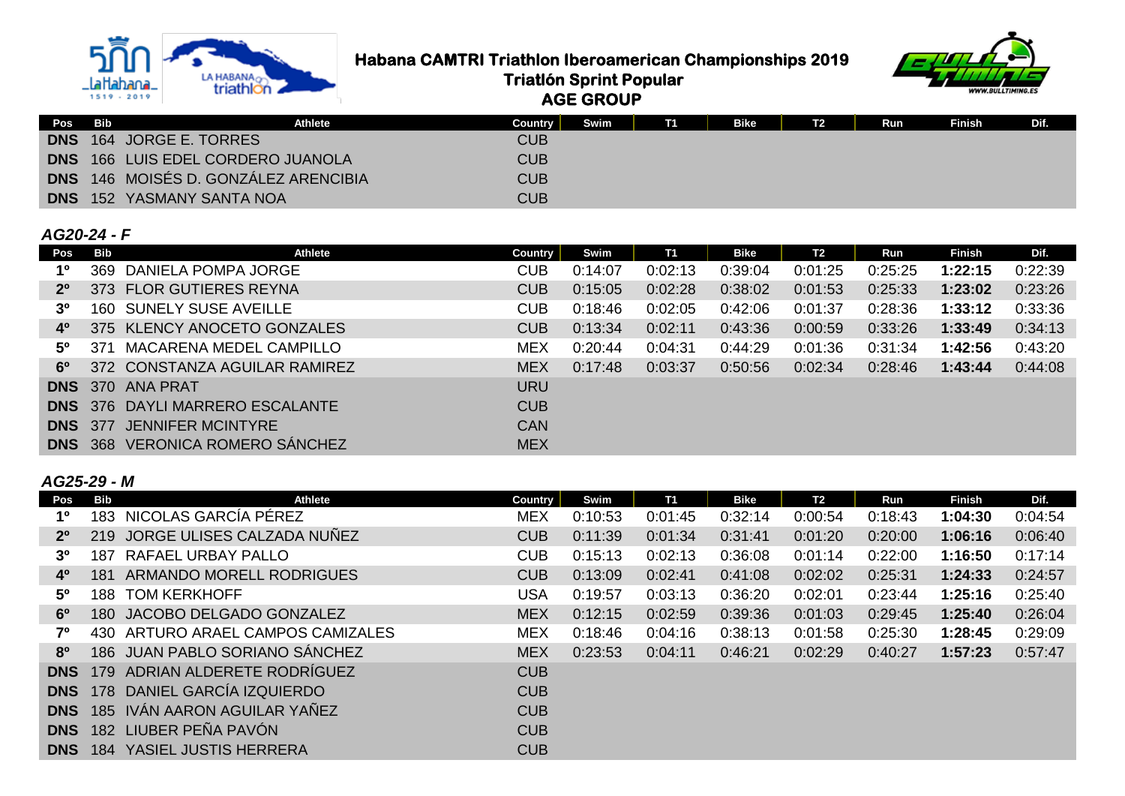

**Habana CAMTRI Triathlon Iberoamerican Championships 2019**<br>Triatlon Sprint Popular<br>Conservation Conservation Conservation Sprince Conservation of Conservation Conservation of Conservation of Conservation of Conservation of





| Pos Bib    | Athlete                                     | Country    | Swim | T1 | <b>Bike</b> | <b>T2</b> | Run | Finish | Dif. |
|------------|---------------------------------------------|------------|------|----|-------------|-----------|-----|--------|------|
|            | DNS 164 JORGE E. TORRES                     | <b>CUB</b> |      |    |             |           |     |        |      |
|            | <b>DNS</b> 166 LUIS EDEL CORDERO JUANOLA    | CUB        |      |    |             |           |     |        |      |
|            | <b>DNS</b> 146 MOISÉS D. GONZÁLEZ ARENCIBIA | CUB        |      |    |             |           |     |        |      |
| <b>DNS</b> | 152 YASMANY SANTA NOA                       | CUB        |      |    |             |           |     |        |      |

 **Triatlón Sprint Popular AGE GROUP**

# *AG20-24 - F*

| Pos            | Bib | <b>Athlete</b>                         | Country    | Swim    | <b>T1</b> | <b>Bike</b> | T <sub>2</sub> | Run     | <b>Finish</b> | Dif.    |
|----------------|-----|----------------------------------------|------------|---------|-----------|-------------|----------------|---------|---------------|---------|
| 1º             |     | 369 DANIELA POMPA JORGE                | <b>CUB</b> | 0:14:07 | 0:02:13   | 0:39:04     | 0:01:25        | 0:25:25 | 1:22:15       | 0:22:39 |
| $2^{\circ}$    |     | 373 FLOR GUTIERES REYNA                | <b>CUB</b> | 0:15:05 | 0:02:28   | 0:38:02     | 0:01:53        | 0:25:33 | 1:23:02       | 0:23:26 |
| 3 <sup>0</sup> |     | 160 SUNELY SUSE AVEILLE                | <b>CUB</b> | 0:18:46 | 0:02:05   | 0:42:06     | 0:01:37        | 0:28:36 | 1:33:12       | 0:33:36 |
| 40             |     | 375 KLENCY ANOCETO GONZALES            | <b>CUB</b> | 0:13:34 | 0:02:11   | 0:43:36     | 0:00:59        | 0:33:26 | 1:33:49       | 0:34:13 |
| $5^{\circ}$    | 371 | MACARENA MEDEL CAMPILLO                | MEX        | 0:20:44 | 0:04:31   | 0:44:29     | 0:01:36        | 0:31:34 | 1:42:56       | 0:43:20 |
| $6^{\circ}$    |     | 372 CONSTANZA AGUILAR RAMIREZ          | <b>MEX</b> | 0:17:48 | 0:03:37   | 0:50:56     | 0:02:34        | 0:28:46 | 1:43:44       | 0:44:08 |
|                |     | <b>DNS</b> 370 ANA PRAT                | <b>URU</b> |         |           |             |                |         |               |         |
|                |     | <b>DNS</b> 376 DAYLI MARRERO ESCALANTE | <b>CUB</b> |         |           |             |                |         |               |         |
| <b>DNS</b> 377 |     | JENNIFER MCINTYRE                      | <b>CAN</b> |         |           |             |                |         |               |         |
| <b>DNS</b> 368 |     | <b>VERONICA ROMERO SÁNCHEZ</b>         | <b>MEX</b> |         |           |             |                |         |               |         |

#### *AG25-29 - M*

| Pos            | Bib | <b>Athlete</b>                 | <b>Country</b> | Swim    | <b>T1</b> | Bike    | T <sub>2</sub> | Run     | <b>Finish</b> | Dif.    |
|----------------|-----|--------------------------------|----------------|---------|-----------|---------|----------------|---------|---------------|---------|
| 1 <sup>0</sup> | 183 | NICOLAS GARCÍA PÉREZ           | <b>MEX</b>     | 0:10:53 | 0:01:45   | 0:32:14 | 0:00:54        | 0:18:43 | 1:04:30       | 0:04:54 |
| 2 <sup>0</sup> | 219 | JORGE ULISES CALZADA NUÑEZ     | <b>CUB</b>     | 0:11:39 | 0:01:34   | 0:31:41 | 0:01:20        | 0:20:00 | 1:06:16       | 0:06:40 |
| 3 <sup>o</sup> | 187 | RAFAEL URBAY PALLO             | <b>CUB</b>     | 0:15:13 | 0:02:13   | 0:36:08 | 0:01:14        | 0:22:00 | 1:16:50       | 0:17:14 |
| 4 <sup>0</sup> | 181 | ARMANDO MORELL RODRIGUES       | <b>CUB</b>     | 0:13:09 | 0:02:41   | 0:41:08 | 0:02:02        | 0:25:31 | 1:24:33       | 0:24:57 |
| $5^{\circ}$    | 188 | <b>TOM KERKHOFF</b>            | USA            | 0:19:57 | 0:03:13   | 0:36:20 | 0:02:01        | 0:23:44 | 1:25:16       | 0:25:40 |
| 6 <sup>o</sup> | 180 | JACOBO DELGADO GONZALEZ        | <b>MEX</b>     | 0:12:15 | 0:02:59   | 0:39:36 | 0:01:03        | 0:29:45 | 1:25:40       | 0:26:04 |
| 70             | 430 | ARTURO ARAEL CAMPOS CAMIZALES  | <b>MEX</b>     | 0:18:46 | 0:04:16   | 0:38:13 | 0:01:58        | 0:25:30 | 1:28:45       | 0:29:09 |
| 8 <sup>o</sup> |     | 186 JUAN PABLO SORIANO SANCHEZ | <b>MEX</b>     | 0:23:53 | 0:04:11   | 0:46:21 | 0:02:29        | 0:40:27 | 1:57:23       | 0:57:47 |
| <b>DNS</b>     | 179 | ADRIAN ALDERETE RODRÍGUEZ      | <b>CUB</b>     |         |           |         |                |         |               |         |
| <b>DNS</b>     |     | 178 DANIEL GARCÍA IZQUIERDO    | <b>CUB</b>     |         |           |         |                |         |               |         |
| <b>DNS</b>     |     | 185 IVÁN AARON AGUILAR YAÑEZ   | <b>CUB</b>     |         |           |         |                |         |               |         |
| <b>DNS</b>     |     | 182 LIUBER PEÑA PAVÓN          | <b>CUB</b>     |         |           |         |                |         |               |         |
| <b>DNS</b>     | 184 | YASIEL JUSTIS HERRERA          | <b>CUB</b>     |         |           |         |                |         |               |         |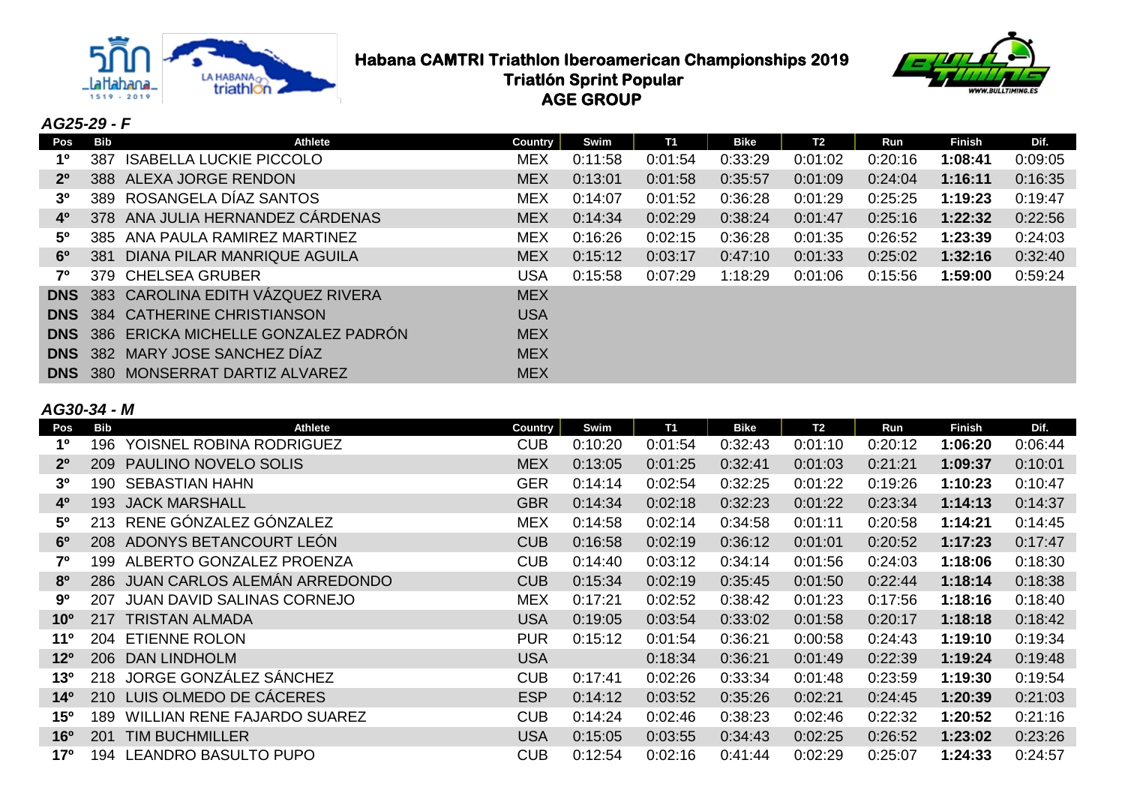

# **Habana CAMTRI Triathlon Iberoamerican Championships 2019**<br>Triatlon Sprint Popular<br>Conservation Conservation Conservation Sprince Conservation of the conservation of the conservation of the conservation of the conservation  **Triatlón Sprint Popular AGE GROUP**



# *AG25-29 - F*

| Pos            | Bib   | <b>Athlete</b>                        | <b>Country</b> | Swim    | <b>T1</b> | Bike    | T <sub>2</sub> | Run     | <b>Finish</b> | Dif.    |
|----------------|-------|---------------------------------------|----------------|---------|-----------|---------|----------------|---------|---------------|---------|
| 1º             | 387   | <b>ISABELLA LUCKIE PICCOLO</b>        | <b>MEX</b>     | 0:11:58 | 0:01:54   | 0:33:29 | 0:01:02        | 0:20:16 | 1:08:41       | 0:09:05 |
| $2^{\circ}$    |       | 388 ALEXA JORGE RENDON                | <b>MEX</b>     | 0:13:01 | 0:01:58   | 0:35:57 | 0:01:09        | 0:24:04 | 1:16:11       | 0:16:35 |
| 3 <sup>o</sup> | 389   | ROSANGELA DÍAZ SANTOS                 | <b>MEX</b>     | 0:14:07 | 0:01:52   | 0:36:28 | 0:01:29        | 0:25:25 | 1:19:23       | 0:19:47 |
| $4^{\circ}$    |       | 378 ANA JULIA HERNANDEZ CÁRDENAS      | <b>MEX</b>     | 0:14:34 | 0:02:29   | 0:38:24 | 0:01:47        | 0:25:16 | 1:22:32       | 0:22:56 |
| $5^{\circ}$    | 385   | ANA PAULA RAMIREZ MARTINEZ            | <b>MEX</b>     | 0:16:26 | 0:02:15   | 0:36:28 | 0:01:35        | 0:26:52 | 1:23:39       | 0:24:03 |
| $6^{\circ}$    | 381   | <b>DIANA PILAR MANRIQUE AGUILA</b>    | <b>MEX</b>     | 0:15:12 | 0:03:17   | 0:47:10 | 0:01:33        | 0:25:02 | 1:32:16       | 0:32:40 |
| 70             |       | 379 CHELSEA GRUBER                    | USA            | 0:15:58 | 0:07:29   | 1:18:29 | 0:01:06        | 0:15:56 | 1:59:00       | 0:59:24 |
| <b>DNS</b>     |       | 383 CAROLINA EDITH VÁZQUEZ RIVERA     | <b>MEX</b>     |         |           |         |                |         |               |         |
| <b>DNS</b>     |       | 384 CATHERINE CHRISTIANSON            | <b>USA</b>     |         |           |         |                |         |               |         |
| <b>DNS</b>     |       | 386 ERICKA MICHELLE GONZALEZ PADRÓN   | <b>MEX</b>     |         |           |         |                |         |               |         |
|                |       | <b>DNS</b> 382 MARY JOSE SANCHEZ DIAZ | <b>MEX</b>     |         |           |         |                |         |               |         |
| <b>DNS</b>     | -380- | MONSERRAT DARTIZ ALVAREZ              | <b>MEX</b>     |         |           |         |                |         |               |         |

#### *AG30-34 - M*

| Pos             | <b>Bib</b> | Athlete                            | <b>Country</b> | Swim    | <b>T1</b> | <b>Bike</b> | <b>T2</b> | Run     | <b>Finish</b> | Dif.    |
|-----------------|------------|------------------------------------|----------------|---------|-----------|-------------|-----------|---------|---------------|---------|
| 1 <sup>0</sup>  | 196        | YOISNEL ROBINA RODRIGUEZ           | <b>CUB</b>     | 0:10:20 | 0:01:54   | 0:32:43     | 0:01:10   | 0:20:12 | 1:06:20       | 0:06:44 |
| 2 <sup>0</sup>  | 209        | PAULINO NOVELO SOLIS               | <b>MEX</b>     | 0:13:05 | 0:01:25   | 0:32:41     | 0:01:03   | 0:21:21 | 1:09:37       | 0:10:01 |
| 3 <sup>0</sup>  | 190        | <b>SEBASTIAN HAHN</b>              | <b>GER</b>     | 0:14:14 | 0:02:54   | 0:32:25     | 0:01:22   | 0:19:26 | 1:10:23       | 0:10:47 |
| 4 <sup>0</sup>  | 193        | <b>JACK MARSHALL</b>               | <b>GBR</b>     | 0:14:34 | 0:02:18   | 0:32:23     | 0:01:22   | 0:23:34 | 1:14:13       | 0:14:37 |
| 50              | 213        | RENE GÓNZALEZ GÓNZALEZ             | <b>MEX</b>     | 0:14:58 | 0:02:14   | 0:34:58     | 0:01:11   | 0:20:58 | 1:14:21       | 0:14:45 |
| 6 <sup>o</sup>  | <b>208</b> | ADONYS BETANCOURT LEÓN             | <b>CUB</b>     | 0:16:58 | 0:02:19   | 0:36:12     | 0:01:01   | 0:20:52 | 1:17:23       | 0:17:47 |
| 70              | 199        | ALBERTO GONZALEZ PROENZA           | <b>CUB</b>     | 0:14:40 | 0:03:12   | 0:34:14     | 0:01:56   | 0:24:03 | 1:18:06       | 0:18:30 |
| 80              | 286        | JUAN CARLOS ALEMÁN ARREDONDO       | <b>CUB</b>     | 0:15:34 | 0:02:19   | 0:35:45     | 0:01:50   | 0:22:44 | 1:18:14       | 0:18:38 |
| 90              | 207        | <b>JUAN DAVID SALINAS CORNEJO</b>  | <b>MEX</b>     | 0:17:21 | 0:02:52   | 0:38:42     | 0:01:23   | 0:17:56 | 1:18:16       | 0:18:40 |
| 10 <sup>o</sup> | 217        | <b>TRISTAN ALMADA</b>              | <b>USA</b>     | 0:19:05 | 0:03:54   | 0:33:02     | 0:01:58   | 0:20:17 | 1:18:18       | 0:18:42 |
| 11 <sup>0</sup> | 204        | <b>ETIENNE ROLON</b>               | <b>PUR</b>     | 0:15:12 | 0:01:54   | 0:36:21     | 0:00:58   | 0:24:43 | 1:19:10       | 0:19:34 |
| 12 <sup>o</sup> | 206        | <b>DAN LINDHOLM</b>                | <b>USA</b>     |         | 0:18:34   | 0:36:21     | 0:01:49   | 0:22:39 | 1:19:24       | 0:19:48 |
| 13 <sup>o</sup> | 218        | JORGE GONZÁLEZ SÁNCHEZ             | <b>CUB</b>     | 0:17:41 | 0:02:26   | 0:33:34     | 0:01:48   | 0:23:59 | 1:19:30       | 0:19:54 |
| 14 <sup>°</sup> | 210        | LUIS OLMEDO DE CÁCERES             | <b>ESP</b>     | 0:14:12 | 0:03:52   | 0:35:26     | 0:02:21   | 0:24:45 | 1:20:39       | 0:21:03 |
| 15 <sup>o</sup> | 189        | <b>WILLIAN RENE FAJARDO SUAREZ</b> | <b>CUB</b>     | 0:14:24 | 0:02:46   | 0:38:23     | 0:02:46   | 0:22:32 | 1:20:52       | 0:21:16 |
| 16 <sup>o</sup> | 201        | <b>TIM BUCHMILLER</b>              | <b>USA</b>     | 0:15:05 | 0:03:55   | 0:34:43     | 0:02:25   | 0:26:52 | 1:23:02       | 0:23:26 |
| 17°             | 194        | <b>LEANDRO BASULTO PUPO</b>        | <b>CUB</b>     | 0:12:54 | 0:02:16   | 0:41:44     | 0:02:29   | 0:25:07 | 1:24:33       | 0:24:57 |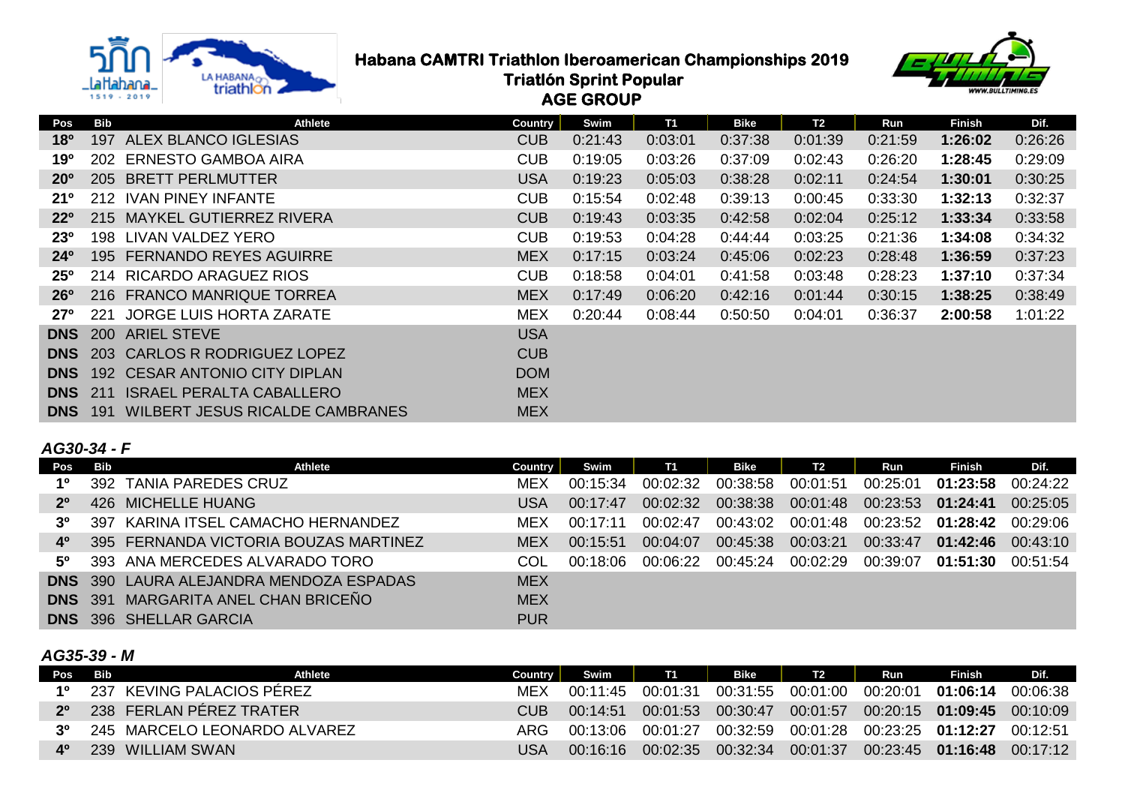

**Habana CAMTRI Triathlon Iberoamerican Championships 2019**<br>Triatlon Sprint Popular<br>Conservation Conservation Conservation Sprince Conservation of the conservation of the conservation of the conservation of the conservation  **Triatlón Sprint Popular AGE GROUP**



| Pos             | Bib | <b>Athlete</b>                  | Country    | Swim    | <b>T1</b> | <b>Bike</b> | <b>T2</b> | Run     | <b>Finish</b> | Dif.    |
|-----------------|-----|---------------------------------|------------|---------|-----------|-------------|-----------|---------|---------------|---------|
| 18 <sup>o</sup> | 197 | ALEX BLANCO IGLESIAS            | <b>CUB</b> | 0:21:43 | 0:03:01   | 0:37:38     | 0:01:39   | 0:21:59 | 1:26:02       | 0:26:26 |
| 19º             |     | 202 ERNESTO GAMBOA AIRA         | <b>CUB</b> | 0:19:05 | 0:03:26   | 0:37:09     | 0:02:43   | 0:26:20 | 1:28:45       | 0:29:09 |
| 20 <sup>o</sup> |     | 205 BRETT PERLMUTTER            | <b>USA</b> | 0:19:23 | 0:05:03   | 0:38:28     | 0:02:11   | 0:24:54 | 1:30:01       | 0:30:25 |
| 21°             |     | 212 IVAN PINEY INFANTE          | <b>CUB</b> | 0:15:54 | 0:02:48   | 0:39:13     | 0:00:45   | 0:33:30 | 1:32:13       | 0:32:37 |
| $22^{\circ}$    |     | 215 MAYKEL GUTIERREZ RIVERA     | <b>CUB</b> | 0:19:43 | 0:03:35   | 0:42:58     | 0:02:04   | 0:25:12 | 1:33:34       | 0:33:58 |
| 23 <sup>o</sup> |     | 198 LIVAN VALDEZ YERO           | <b>CUB</b> | 0:19:53 | 0:04:28   | 0:44:44     | 0:03:25   | 0:21:36 | 1:34:08       | 0:34:32 |
| $24^{\circ}$    |     | 195 FERNANDO REYES AGUIRRE      | <b>MEX</b> | 0:17:15 | 0:03:24   | 0:45:06     | 0:02:23   | 0:28:48 | 1:36:59       | 0:37:23 |
| $25^{\circ}$    |     | 214 RICARDO ARAGUEZ RIOS        | <b>CUB</b> | 0:18:58 | 0:04:01   | 0:41:58     | 0:03:48   | 0:28:23 | 1:37:10       | 0:37:34 |
| $26^{\circ}$    |     | 216 FRANCO MANRIQUE TORREA      | <b>MEX</b> | 0:17:49 | 0:06:20   | 0:42:16     | 0:01:44   | 0:30:15 | 1:38:25       | 0:38:49 |
| $27^\circ$      | 221 | JORGE LUIS HORTA ZARATE         | <b>MEX</b> | 0:20:44 | 0:08:44   | 0:50:50     | 0:04:01   | 0:36:37 | 2:00:58       | 1:01:22 |
| <b>DNS</b>      |     | 200 ARIEL STEVE                 | <b>USA</b> |         |           |             |           |         |               |         |
| <b>DNS</b>      |     | 203 CARLOS R RODRIGUEZ LOPEZ    | <b>CUB</b> |         |           |             |           |         |               |         |
| <b>DNS</b>      |     | 192 CESAR ANTONIO CITY DIPLAN   | <b>DOM</b> |         |           |             |           |         |               |         |
| <b>DNS</b>      | 211 | <b>ISRAEL PERALTA CABALLERO</b> | <b>MEX</b> |         |           |             |           |         |               |         |
| <b>DNS</b>      | 191 | WILBERT JESUS RICALDE CAMBRANES | <b>MEX</b> |         |           |             |           |         |               |         |

### *AG30-34 - F*

| Pos         | <b>Bib</b> | <b>Athlete</b>                                 | Country    | Swim     | T1       | Bike     | <b>T2</b> | Run                        | <b>Finish</b> | Dif.     |
|-------------|------------|------------------------------------------------|------------|----------|----------|----------|-----------|----------------------------|---------------|----------|
| 10          |            | 392 TANIA PAREDES CRUZ                         | <b>MEX</b> | 00:15:34 | 00:02:32 | 00:38:58 | 00:01:51  | 00:25:01                   | 01:23:58      | 00:24:22 |
| $2^{\circ}$ |            | 426 MICHELLE HUANG                             | USA.       | 00:17:47 | 00:02:32 | 00:38:38 | 00:01:48  |                            |               | 00:25:05 |
| 30          |            | 397 KARINA ITSEL CAMACHO HERNANDEZ             | MEX        | 00:17:11 | 00:02:47 | 00:43:02 |           | 00:01:48 00:23:52 01:28:42 |               | 00:29:06 |
| 40          |            | 395 FERNANDA VICTORIA BOUZAS MARTINEZ          | <b>MEX</b> | 00:15:51 | 00:04:07 | 00:45:38 | 00:03:21  | 00:33:47                   | 01:42:46      | 00:43:10 |
| 50          |            | 393 ANA MERCEDES ALVARADO TORO                 | COL        | ∩∩∙18∙06 | 00:06:22 | 00:45:24 | 00:02:29  | 00:39:07                   | 01:51:30      | 00:51:54 |
|             |            | <b>DNS</b> 390 LAURA ALEJANDRA MENDOZA ESPADAS | <b>MEX</b> |          |          |          |           |                            |               |          |
|             |            | <b>DNS</b> 391 MARGARITA ANEL CHAN BRICENO     | <b>MEX</b> |          |          |          |           |                            |               |          |
|             |            | <b>DNS</b> 396 SHELLAR GARCIA                  | <b>PUR</b> |          |          |          |           |                            |               |          |

### *AG35-39 - M*

| Pos Bib | Athlete                      | <b>Country</b> | Swim       | <b>TTL</b> | Bike     | <b>T2</b> | Run | Finish                                           | Dif. |
|---------|------------------------------|----------------|------------|------------|----------|-----------|-----|--------------------------------------------------|------|
| 10      | 237 KEVING PALACIOS PËREZ    | <b>MFX</b>     | 00:11:45   | 00:01:31   |          |           |     | 00:31:55  00:01:00  00:20:01  01:06:14  00:06:38 |      |
| 20      | 238 FERLAN PÉREZ TRATER      | CUB.           | 00:14:51   | 00:01:53   | 00:30:47 |           |     | $00:01:57$ $00:20:15$ <b>01:09:45</b> $00:10:09$ |      |
| ر?      | 245 MARCELO LEONARDO ALVAREZ | ARG.           | 00:13:06   | 00:01:27   |          |           |     | 00:32:59 00:01:28 00:23:25 01:12:27 00:12:51     |      |
| 40      | 239 WILLIAM SWAN             | USA            | . ດດ∙16∙16 | 00:02:35   |          |           |     | 00:32:34  00:01:37  00:23:45  01:16:48  00:17:12 |      |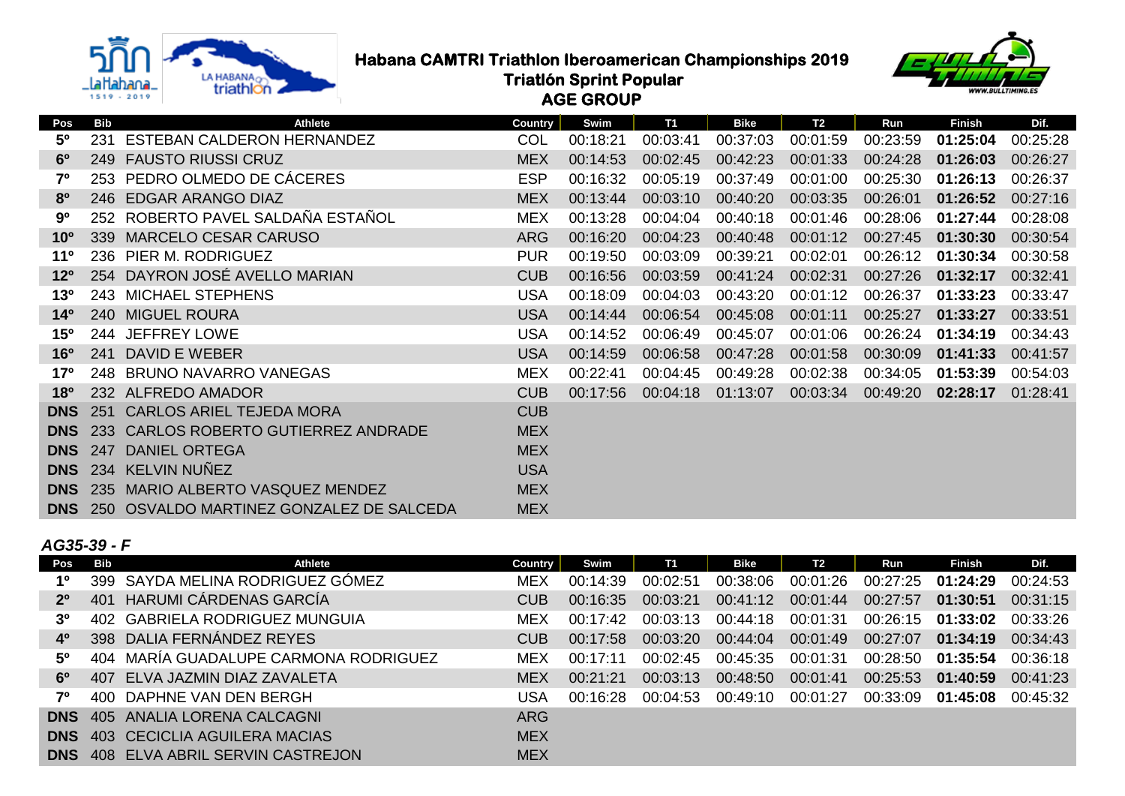

# **Habana CAMTRI Triathlon Iberoamerican Championships 2019**<br>Triatlon Sprint Popular<br>Triatlon Sprint Popular

 **Triatlón Sprint Popular**





| Pos             | <b>Bib</b> | <b>Athlete</b>                           | <b>Country</b> | Swim     | <b>T1</b> | <b>Bike</b> | T <sub>2</sub> | Run      | <b>Finish</b> | Dif.     |
|-----------------|------------|------------------------------------------|----------------|----------|-----------|-------------|----------------|----------|---------------|----------|
| 50              | 231        | <b>ESTEBAN CALDERON HERNANDEZ</b>        | <b>COL</b>     | 00:18:21 | 00:03:41  | 00:37:03    | 00:01:59       | 00:23:59 | 01:25:04      | 00:25:28 |
| 6 <sup>o</sup>  | 249        | <b>FAUSTO RIUSSI CRUZ</b>                | <b>MEX</b>     | 00:14:53 | 00:02:45  | 00:42:23    | 00:01:33       | 00:24:28 | 01:26:03      | 00:26:27 |
| 7 <sup>0</sup>  |            | 253 PEDRO OLMEDO DE CÁCERES              | <b>ESP</b>     | 00:16:32 | 00:05:19  | 00:37:49    | 00:01:00       | 00:25:30 | 01:26:13      | 00:26:37 |
| 80              |            | 246 EDGAR ARANGO DIAZ                    | <b>MEX</b>     | 00:13:44 | 00:03:10  | 00:40:20    | 00:03:35       | 00:26:01 | 01:26:52      | 00:27:16 |
| 90              |            | 252 ROBERTO PAVEL SALDAÑA ESTAÑOL        | <b>MEX</b>     | 00:13:28 | 00:04:04  | 00:40:18    | 00:01:46       | 00:28:06 | 01:27:44      | 00:28:08 |
| 10 <sup>o</sup> | 339        | <b>MARCELO CESAR CARUSO</b>              | <b>ARG</b>     | 00:16:20 | 00:04:23  | 00:40:48    | 00:01:12       | 00:27:45 | 01:30:30      | 00:30:54 |
| $11^{\circ}$    | 236        | PIER M. RODRIGUEZ                        | <b>PUR</b>     | 00:19:50 | 00:03:09  | 00:39:21    | 00:02:01       | 00:26:12 | 01:30:34      | 00:30:58 |
| 12 <sup>o</sup> |            | 254 DAYRON JOSÉ AVELLO MARIAN            | <b>CUB</b>     | 00:16:56 | 00:03:59  | 00:41:24    | 00:02:31       | 00:27:26 | 01:32:17      | 00:32:41 |
| 13 <sup>o</sup> |            | 243 MICHAEL STEPHENS                     | <b>USA</b>     | 00:18:09 | 00:04:03  | 00:43:20    | 00:01:12       | 00:26:37 | 01:33:23      | 00:33:47 |
| 14 <sup>0</sup> |            | 240 MIGUEL ROURA                         | <b>USA</b>     | 00:14:44 | 00:06:54  | 00:45:08    | 00:01:11       | 00:25:27 | 01:33:27      | 00:33:51 |
| 150             |            | 244 JEFFREY LOWE                         | USA            | 00:14:52 | 00:06:49  | 00:45:07    | 00:01:06       | 00:26:24 | 01:34:19      | 00:34:43 |
| 16 <sup>o</sup> | 241        | DAVID E WEBER                            | <b>USA</b>     | 00:14:59 | 00:06:58  | 00:47:28    | 00:01:58       | 00:30:09 | 01:41:33      | 00:41:57 |
| 17°             |            | 248 BRUNO NAVARRO VANEGAS                | <b>MEX</b>     | 00:22:41 | 00:04:45  | 00:49:28    | 00:02:38       | 00:34:05 | 01:53:39      | 00:54:03 |
| 18 <sup>o</sup> |            | 232 ALFREDO AMADOR                       | <b>CUB</b>     | 00:17:56 | 00:04:18  | 01:13:07    | 00:03:34       | 00:49:20 | 02:28:17      | 01:28:41 |
| <b>DNS</b>      | 251        | <b>CARLOS ARIEL TEJEDA MORA</b>          | <b>CUB</b>     |          |           |             |                |          |               |          |
| <b>DNS</b>      |            | 233 CARLOS ROBERTO GUTIERREZ ANDRADE     | <b>MEX</b>     |          |           |             |                |          |               |          |
| <b>DNS</b>      | 247        | <b>DANIEL ORTEGA</b>                     | <b>MEX</b>     |          |           |             |                |          |               |          |
| <b>DNS</b>      |            | 234 KELVIN NUÑEZ                         | <b>USA</b>     |          |           |             |                |          |               |          |
| <b>DNS</b>      |            | 235 MARIO ALBERTO VASQUEZ MENDEZ         | <b>MEX</b>     |          |           |             |                |          |               |          |
| <b>DNS</b>      |            | 250 OSVALDO MARTINEZ GONZALEZ DE SALCEDA | <b>MEX</b>     |          |           |             |                |          |               |          |

### *AG35-39 - F*

| Pos         | Bib | Athlete                                    | <b>Country</b> | Swim     | <b>T1</b> | Bike     | T2       | Run      | <b>Finish</b> | Dif.     |
|-------------|-----|--------------------------------------------|----------------|----------|-----------|----------|----------|----------|---------------|----------|
| 1º          |     | 399 SAYDA MELINA RODRIGUEZ GÓMEZ           | <b>MEX</b>     | 00:14:39 | 00:02:51  | 00:38:06 | 00:01:26 | 00:27:25 | 01:24:29      | 00:24:53 |
| $2^{\circ}$ |     | 401 HARUMI CÁRDENAS GARCÍA                 | <b>CUB</b>     | 00:16:35 | 00:03:21  | 00:41:12 | 00:01:44 | 00:27:57 | 01:30:51      | 00:31:15 |
| 3º          |     | 402 GABRIELA RODRIGUEZ MUNGUIA             | <b>MEX</b>     | 00:17:42 | 00:03:13  | 00:44:18 | 00:01:31 |          |               | 00:33:26 |
| 40          |     | 398 DALIA FERNÁNDEZ REYES                  | <b>CUB</b>     | 00:17:58 | 00:03:20  | 00:44:04 | 00:01:49 | 00:27:07 | 01:34:19      | 00:34:43 |
| 50          |     | 404 MARIA GUADALUPE CARMONA RODRIGUEZ      | <b>MEX</b>     | 00.17.11 | 00:02:45  | 00:45:35 | 00:01:31 | 00:28:50 | 01:35:54      | 00:36:18 |
| 60          |     | 407 ELVA JAZMIN DIAZ ZAVALETA              | <b>MEX</b>     | 00:21:21 | 00:03:13  | 00:48:50 | 00:01:41 | 00:25:53 | 01:40:59      | 00:41:23 |
| 70          |     | 400 DAPHNE VAN DEN BERGH                   | USA            | 00:16:28 | 00:04:53  | 00:49:10 | 00:01:27 | 00:33:09 | 01:45:08      | 00:45:32 |
|             |     | <b>DNS</b> 405 ANALIA LORENA CALCAGNI      | <b>ARG</b>     |          |           |          |          |          |               |          |
|             |     | <b>DNS</b> 403 CECICLIA AGUILERA MACIAS    | <b>MEX</b>     |          |           |          |          |          |               |          |
|             |     | <b>DNS</b> 408 ELVA ABRIL SERVIN CASTREJON | <b>MEX</b>     |          |           |          |          |          |               |          |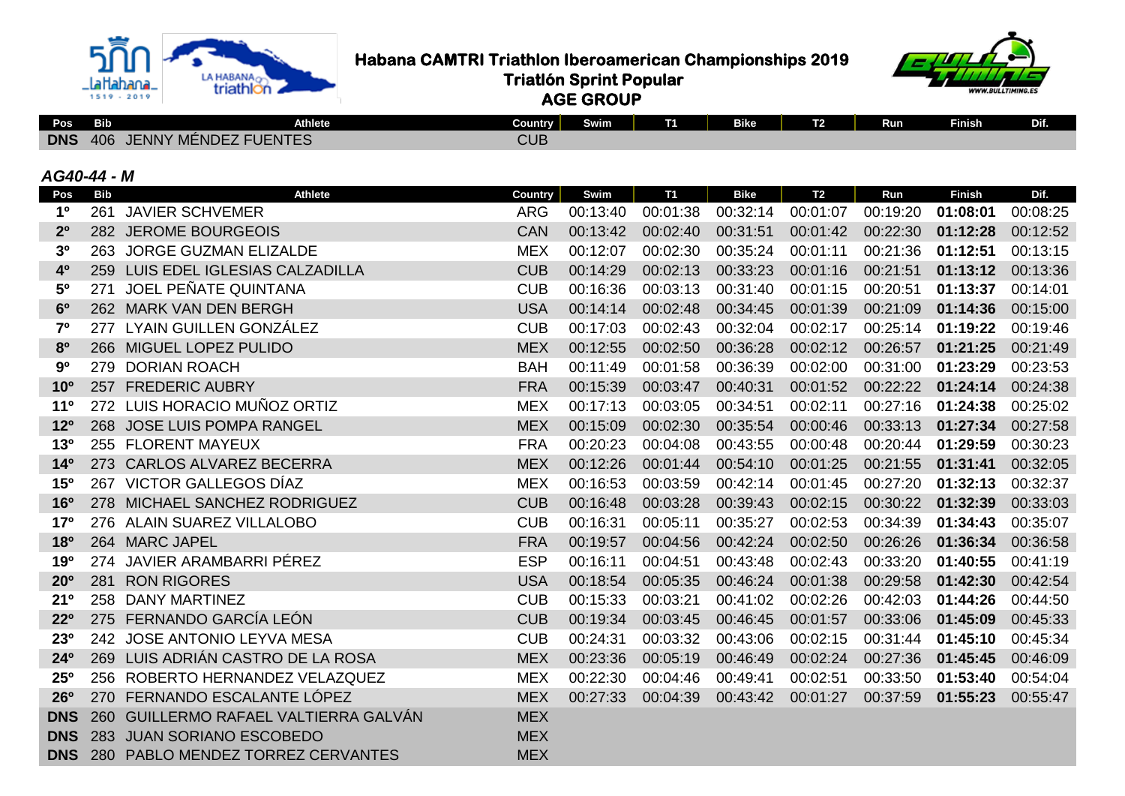

 **Habana CAMTRI Triathlon Iberoamerican Championships 2019**<br>Triatlon Sprint Popular<br>Triatlon Sprint Popular

 **Triatlón Sprint Popular**



 **AGE GROUP**

| Pos                   | Bib        | Athlete                               | Country        | Swim     | $\mathbf{11}$ | Bike        | T2        | Run      | Finish        | Dif.     |
|-----------------------|------------|---------------------------------------|----------------|----------|---------------|-------------|-----------|----------|---------------|----------|
|                       |            | <b>DNS</b> 406 JENNY MÉNDEZ FUENTES   | <b>CUB</b>     |          |               |             |           |          |               |          |
| AG40-44 - M           |            |                                       |                |          |               |             |           |          |               |          |
| Pos                   | <b>Bib</b> | <b>Athlete</b>                        | <b>Country</b> | Swim     | <b>T1</b>     | <b>Bike</b> | <b>T2</b> | Run      | <b>Finish</b> | Dif.     |
| 1 <sup>0</sup>        |            | 261 JAVIER SCHVEMER                   | <b>ARG</b>     | 00:13:40 | 00:01:38      | 00:32:14    | 00:01:07  | 00:19:20 | 01:08:01      | 00:08:25 |
| 2 <sup>0</sup>        |            | 282 JEROME BOURGEOIS                  | <b>CAN</b>     | 00:13:42 | 00:02:40      | 00:31:51    | 00:01:42  | 00:22:30 | 01:12:28      | 00:12:52 |
| 3 <sup>o</sup>        |            | 263 JORGE GUZMAN ELIZALDE             | <b>MEX</b>     | 00:12:07 | 00:02:30      | 00:35:24    | 00:01:11  | 00:21:36 | 01:12:51      | 00:13:15 |
| 4 <sup>0</sup>        |            | 259 LUIS EDEL IGLESIAS CALZADILLA     | <b>CUB</b>     | 00:14:29 | 00:02:13      | 00:33:23    | 00:01:16  | 00:21:51 | 01:13:12      | 00:13:36 |
| 5 <sup>0</sup>        |            | 271 JOEL PEÑATE QUINTANA              | <b>CUB</b>     | 00:16:36 | 00:03:13      | 00:31:40    | 00:01:15  | 00:20:51 | 01:13:37      | 00:14:01 |
| 6 <sup>o</sup>        |            | 262 MARK VAN DEN BERGH                | <b>USA</b>     | 00:14:14 | 00:02:48      | 00:34:45    | 00:01:39  | 00:21:09 | 01:14:36      | 00:15:00 |
| 7 <sup>0</sup>        |            | 277 LYAIN GUILLEN GONZÁLEZ            | <b>CUB</b>     | 00:17:03 | 00:02:43      | 00:32:04    | 00:02:17  | 00:25:14 | 01:19:22      | 00:19:46 |
| 8 <sup>o</sup>        |            | 266 MIGUEL LOPEZ PULIDO               | <b>MEX</b>     | 00:12:55 | 00:02:50      | 00:36:28    | 00:02:12  | 00:26:57 | 01:21:25      | 00:21:49 |
| 90                    |            | 279 DORIAN ROACH                      | <b>BAH</b>     | 00:11:49 | 00:01:58      | 00:36:39    | 00:02:00  | 00:31:00 | 01:23:29      | 00:23:53 |
| 10 <sup>o</sup>       |            | 257 FREDERIC AUBRY                    | <b>FRA</b>     | 00:15:39 | 00:03:47      | 00:40:31    | 00:01:52  | 00:22:22 | 01:24:14      | 00:24:38 |
| 11 <sup>0</sup>       |            | 272 LUIS HORACIO MUÑOZ ORTIZ          | <b>MEX</b>     | 00:17:13 | 00:03:05      | 00:34:51    | 00:02:11  | 00:27:16 | 01:24:38      | 00:25:02 |
| 12 <sup>o</sup>       |            | 268 JOSE LUIS POMPA RANGEL            | <b>MEX</b>     | 00:15:09 | 00:02:30      | 00:35:54    | 00:00:46  | 00:33:13 | 01:27:34      | 00:27:58 |
| 13 <sup>o</sup>       |            | 255 FLORENT MAYEUX                    | <b>FRA</b>     | 00:20:23 | 00:04:08      | 00:43:55    | 00:00:48  | 00:20:44 | 01:29:59      | 00:30:23 |
| 14 <sup>0</sup>       |            | 273 CARLOS ALVAREZ BECERRA            | <b>MEX</b>     | 00:12:26 | 00:01:44      | 00:54:10    | 00:01:25  | 00:21:55 | 01:31:41      | 00:32:05 |
| 15 <sup>o</sup>       |            | 267 VICTOR GALLEGOS DÍAZ              | <b>MEX</b>     | 00:16:53 | 00:03:59      | 00:42:14    | 00:01:45  | 00:27:20 | 01:32:13      | 00:32:37 |
| <b>16<sup>o</sup></b> |            | 278 MICHAEL SANCHEZ RODRIGUEZ         | <b>CUB</b>     | 00:16:48 | 00:03:28      | 00:39:43    | 00:02:15  | 00:30:22 | 01:32:39      | 00:33:03 |
| 17 <sup>o</sup>       |            | 276 ALAIN SUAREZ VILLALOBO            | <b>CUB</b>     | 00:16:31 | 00:05:11      | 00:35:27    | 00:02:53  | 00:34:39 | 01:34:43      | 00:35:07 |
| <b>18º</b>            |            | 264 MARC JAPEL                        | <b>FRA</b>     | 00:19:57 | 00:04:56      | 00:42:24    | 00:02:50  | 00:26:26 | 01:36:34      | 00:36:58 |
| 190                   |            | 274 JAVIER ARAMBARRI PÉREZ            | <b>ESP</b>     | 00:16:11 | 00:04:51      | 00:43:48    | 00:02:43  | 00:33:20 | 01:40:55      | 00:41:19 |
| 20 <sup>o</sup>       |            | 281 RON RIGORES                       | <b>USA</b>     | 00:18:54 | 00:05:35      | 00:46:24    | 00:01:38  | 00:29:58 | 01:42:30      | 00:42:54 |
| 21 <sup>0</sup>       |            | 258 DANY MARTINEZ                     | <b>CUB</b>     | 00:15:33 | 00:03:21      | 00:41:02    | 00:02:26  | 00:42:03 | 01:44:26      | 00:44:50 |
| <b>22º</b>            |            | 275 FERNANDO GARCÍA LEÓN              | <b>CUB</b>     | 00:19:34 | 00:03:45      | 00:46:45    | 00:01:57  | 00:33:06 | 01:45:09      | 00:45:33 |
| <b>23º</b>            |            | 242 JOSE ANTONIO LEYVA MESA           | <b>CUB</b>     | 00:24:31 | 00:03:32      | 00:43:06    | 00:02:15  | 00:31:44 | 01:45:10      | 00:45:34 |
| 24 <sup>o</sup>       |            | 269 LUIS ADRIÁN CASTRO DE LA ROSA     | <b>MEX</b>     | 00:23:36 | 00:05:19      | 00:46:49    | 00:02:24  | 00:27:36 | 01:45:45      | 00:46:09 |
| 25 <sup>o</sup>       |            | 256 ROBERTO HERNANDEZ VELAZQUEZ       | <b>MEX</b>     | 00:22:30 | 00:04:46      | 00:49:41    | 00:02:51  | 00:33:50 | 01:53:40      | 00:54:04 |
| 26°                   |            | 270 FERNANDO ESCALANTE LÓPEZ          | <b>MEX</b>     | 00:27:33 | 00:04:39      | 00:43:42    | 00:01:27  | 00:37:59 | 01:55:23      | 00:55:47 |
| <b>DNS</b>            |            | 260 GUILLERMO RAFAEL VALTIERRA GALVÁN | <b>MEX</b>     |          |               |             |           |          |               |          |
| <b>DNS</b>            |            | 283 JUAN SORIANO ESCOBEDO             | <b>MEX</b>     |          |               |             |           |          |               |          |
| <b>DNS</b>            |            | 280 PABLO MENDEZ TORREZ CERVANTES     | <b>MEX</b>     |          |               |             |           |          |               |          |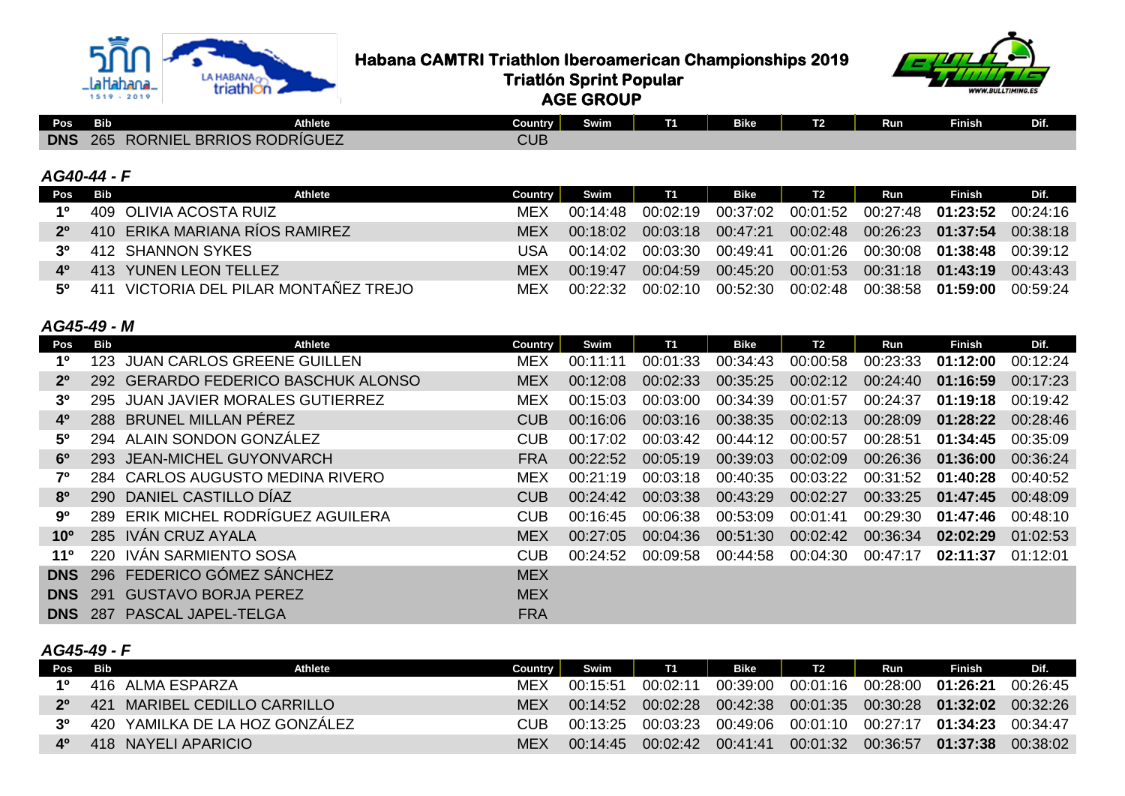

 **Habana CAMTRI Triathlon Iberoamerican Championships 2019**<br>Triatlon Sprint Popular<br>Conduction Conduction

 **Triatlón Sprint Popular AGE GROUP**

| Pos        | <b>Bib</b>              | Athlete                 | Country    | Swim | ŀ | <b>SHIZ</b><br>$-10o$ | $-$<br>. . | Run | <b>Finish</b> | --<br>. |
|------------|-------------------------|-------------------------|------------|------|---|-----------------------|------------|-----|---------------|---------|
| <b>DNS</b> | 265<br>. P <sup>2</sup> | ORNIEL BRRIOS RODRÍGUEZ | <b>CUB</b> |      |   |                       |            |     |               |         |

#### *AG40-44 - F*

|             | Pos Bib<br>Athlete                    | Country | Swim     | <b>T1</b> | Bike     | T <sub>2</sub> | Run | Finish                                              | Dif.     |
|-------------|---------------------------------------|---------|----------|-----------|----------|----------------|-----|-----------------------------------------------------|----------|
| 10          | 409 OLIVIA ACOSTA RUIZ                | MEX     | 00:14:48 | 00:02:19  |          |                |     | 00:37:02 00:01:52 00:27:48 <b>01:23:52</b> 00:24:16 |          |
| $2^{\circ}$ | 410 ERIKA MARIANA RÍOS RAMIREZ        | MFX     | 00:18:02 | 00:03:18  | 00:47:21 |                |     | $00:02:48$ 00:26:23 01:37:54 00:38:18               |          |
| 3º          | 412 SHANNON SYKES                     | USA     | 00:14:02 | 00:03:30  | 00:49:41 |                |     | 00:01:26 00:30:08 01:38:48 00:39:12                 |          |
| 40          | 413 YUNEN LEON TELLEZ                 | MFX     | 00.19.47 | 00:04:59  |          |                |     | 00:45:20 00:01:53 00:31:18 <b>01:43:19</b> 00:43:43 |          |
| .50         | 411 VICTORIA DEL PILAR MONTAÑEZ TREJO | MFX     | 00:22:32 | 00∙02∙10  | 00:52:30 |                |     |                                                     | 00:59:24 |

## *AG45-49 - M*

| Pos             | Bib   | Athlete                             | <b>Country</b> | Swim     | <b>T1</b> | <b>Bike</b> | T2       | Run      | Finish   | Dif.     |
|-----------------|-------|-------------------------------------|----------------|----------|-----------|-------------|----------|----------|----------|----------|
| 1º              | 123.  | <b>JUAN CARLOS GREENE GUILLEN</b>   | <b>MEX</b>     | 00:11:11 | 00:01:33  | 00:34:43    | 00:00:58 | 00:23:33 | 01:12:00 | 00:12:24 |
| $2^{\circ}$     |       | 292 GERARDO FEDERICO BASCHUK ALONSO | <b>MEX</b>     | 00:12:08 | 00:02:33  | 00:35:25    | 00:02:12 | 00:24:40 | 01:16:59 | 00:17:23 |
| 3º              |       | 295 JUAN JAVIER MORALES GUTIERREZ   | <b>MEX</b>     | 00:15:03 | 00:03:00  | 00:34:39    | 00:01:57 | 00:24:37 | 01:19:18 | 00:19:42 |
| 4 <sup>0</sup>  |       | 288 BRUNEL MILLAN PÉREZ             | <b>CUB</b>     | 00:16:06 | 00:03:16  | 00:38:35    | 00:02:13 | 00:28:09 | 01:28:22 | 00:28:46 |
| 50              |       | 294 ALAIN SONDON GONZALEZ           | <b>CUB</b>     | 00:17:02 | 00:03:42  | 00:44:12    | 00:00:57 | 00:28:51 | 01:34:45 | 00:35:09 |
| $6^{\circ}$     |       | 293 JEAN-MICHEL GUYONVARCH          | <b>FRA</b>     | 00:22:52 | 00:05:19  | 00:39:03    | 00:02:09 | 00:26:36 | 01:36:00 | 00:36:24 |
| 70              |       | 284 CARLOS AUGUSTO MEDINA RIVERO    | <b>MEX</b>     | 00:21:19 | 00:03:18  | 00:40:35    | 00:03:22 | 00:31:52 | 01:40:28 | 00:40:52 |
| 8 <sup>0</sup>  |       | 290 DANIEL CASTILLO DÍAZ            | <b>CUB</b>     | 00:24:42 | 00:03:38  | 00:43:29    | 00:02:27 | 00:33:25 | 01:47:45 | 00:48:09 |
| 90              |       | 289 ERIK MICHEL RODRÍGUEZ AGUILERA  | <b>CUB</b>     | 00:16:45 | 00:06:38  | 00:53:09    | 00:01:41 | 00:29:30 | 01:47:46 | 00:48:10 |
| 10 <sup>o</sup> |       | 285 IVÁN CRUZ AYALA                 | <b>MEX</b>     | 00:27:05 | 00:04:36  | 00:51:30    | 00:02:42 | 00:36:34 | 02:02:29 | 01:02:53 |
| 11 <sup>o</sup> |       | 220 IVÁN SARMIENTO SOSA             | <b>CUB</b>     | 00:24:52 | 00:09:58  | 00:44:58    | 00:04:30 | 00:47:17 | 02:11:37 | 01:12:01 |
| <b>DNS</b>      |       | 296 FEDERICO GÓMEZ SÁNCHEZ          | <b>MEX</b>     |          |           |             |          |          |          |          |
| <b>DNS</b>      | - 291 | <b>GUSTAVO BORJA PEREZ</b>          | <b>MEX</b>     |          |           |             |          |          |          |          |
|                 |       | <b>DNS</b> 287 PASCAL JAPEL-TELGA   | <b>FRA</b>     |          |           |             |          |          |          |          |

## *AG45-49 - F*

| Pos Bib        |                     | Athlete                        | Country | Swim              | $\mathbf{I}$ 1 | Bike I   | T2                                                  | Run | Finish              | Dif. |
|----------------|---------------------|--------------------------------|---------|-------------------|----------------|----------|-----------------------------------------------------|-----|---------------------|------|
| 10             | 416 ALMA ESPARZA    |                                | MEX     | 00:15:51          | 00:02:11       |          | 00:39:00  00:01:16  00:28:00  01:26:21  00:26:45    |     |                     |      |
| 20             |                     | 421 MARIBEL CEDILLO CARRILLO   | MEX     | 00:14:52          | 00:02:28       |          | 00:42:38 00:01:35 00:30:28 <b>01:32:02</b> 00:32:26 |     |                     |      |
| و?             |                     | 420 YAMILKA DE LA HOZ GONZÁLEZ | CUB     | 00:13:25 00:03:23 |                |          | 00:49:06 00:01:10 00:27:17 01:34:23 00:34:47        |     |                     |      |
| 4 <sup>o</sup> | 418 NAYELI APARICIO |                                | MEX     | 00:14:45          | 00:02:42       | 00:41:41 | 00:01:32 00:36:57                                   |     | $01:37:38$ 00:38:02 |      |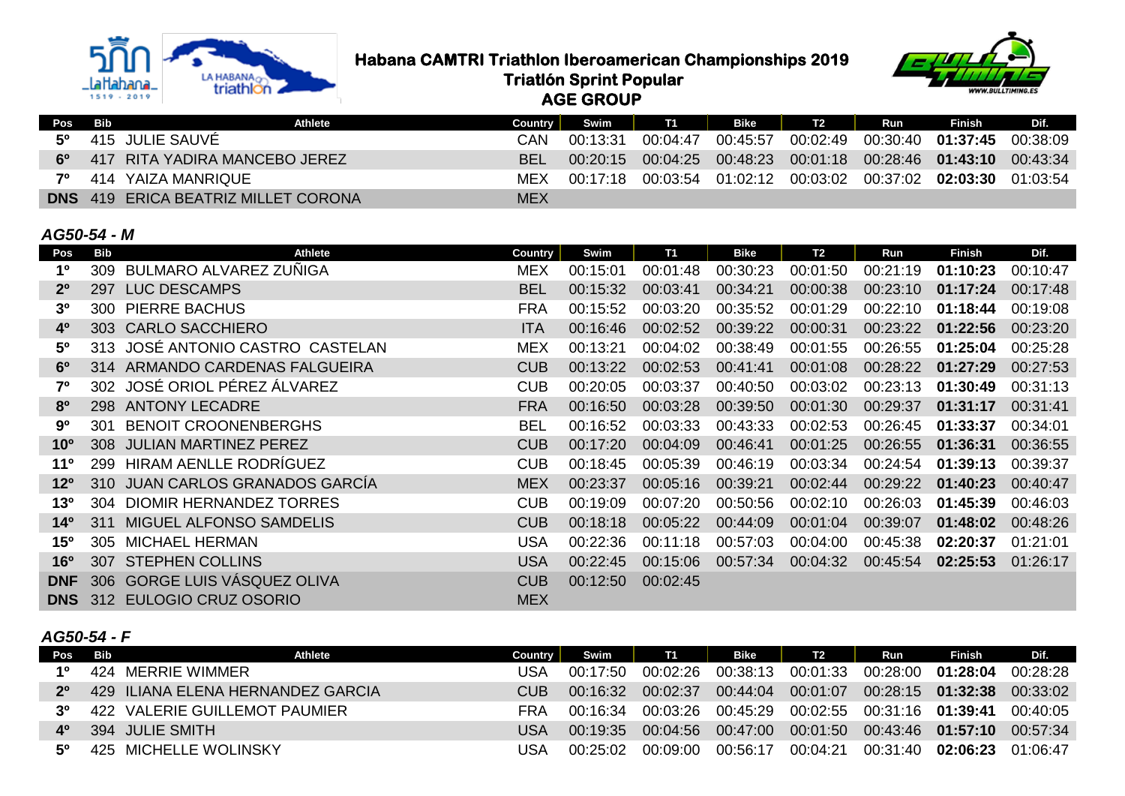

**Habana CAMTRI Triathlon Iberoamerican Championships 2019**<br>Triatlon Sprint Popular<br>Conservation 2019

 **Triatlón Sprint Popular**



| <b>AGE GROUP</b> |  |
|------------------|--|

| Pos | Bib | Athlete                                    | Country    | Swim I T1           |          | Bike                                             | T <sub>2</sub> | Run | Finish                                                    | Dif. |
|-----|-----|--------------------------------------------|------------|---------------------|----------|--------------------------------------------------|----------------|-----|-----------------------------------------------------------|------|
| 50  |     | 415 JULIE SAUVĖ                            | CAN        | 00:13:31            | 00:04:47 | 00:45:57                                         | 00:02:49       |     |                                                           |      |
| 60  |     | 417 RITA YADIRA MANCEBO JEREZ              | <b>BEL</b> | $00:20:15$ 00:04:25 |          | 00:48:23  00:01:18  00:28:46  01:43:10  00:43:34 |                |     |                                                           |      |
| 70  |     | 414 YAIZA MANRIQUE                         | MEX        | 00:17:18            | 00:03:54 |                                                  |                |     | $01:02:12$ $00:03:02$ $00:37:02$ <b>02:03:30</b> 01:03:54 |      |
|     |     | <b>DNS</b> 419 ERICA BEATRIZ MILLET CORONA | <b>MEX</b> |                     |          |                                                  |                |     |                                                           |      |

### *AG50-54 - M*

| Pos             | Bib | Athlete                          | <b>Country</b> | Swim     | T1       | Bike     | T <sub>2</sub> | Run      | <b>Finish</b> | Dif.     |
|-----------------|-----|----------------------------------|----------------|----------|----------|----------|----------------|----------|---------------|----------|
| 1 <sup>0</sup>  | 309 | BULMARO ALVAREZ ZUÑIGA           | <b>MEX</b>     | 00:15:01 | 00:01:48 | 00:30:23 | 00:01:50       | 00:21:19 | 01:10:23      | 00:10:47 |
| 2 <sup>0</sup>  | 297 | <b>LUC DESCAMPS</b>              | <b>BEL</b>     | 00:15:32 | 00:03:41 | 00:34:21 | 00:00:38       | 00:23:10 | 01:17:24      | 00:17:48 |
| 3 <sup>0</sup>  | 300 | <b>PIERRE BACHUS</b>             | <b>FRA</b>     | 00:15:52 | 00:03:20 | 00:35:52 | 00:01:29       | 00:22:10 | 01:18:44      | 00:19:08 |
| 4 <sup>0</sup>  |     | 303 CARLO SACCHIERO              | <b>ITA</b>     | 00:16:46 | 00:02:52 | 00:39:22 | 00:00:31       | 00:23:22 | 01:22:56      | 00:23:20 |
| 5 <sup>0</sup>  |     | 313 JOSÉ ANTONIO CASTRO CASTELAN | <b>MEX</b>     | 00:13:21 | 00:04:02 | 00:38:49 | 00:01:55       | 00:26:55 | 01:25:04      | 00:25:28 |
| 6 <sup>o</sup>  |     | 314 ARMANDO CARDENAS FALGUEIRA   | <b>CUB</b>     | 00:13:22 | 00:02:53 | 00:41:41 | 00:01:08       | 00:28:22 | 01:27:29      | 00:27:53 |
| 70              |     | 302 JOSÉ ORIOL PÉREZ ÁLVAREZ     | <b>CUB</b>     | 00:20:05 | 00:03:37 | 00:40:50 | 00:03:02       | 00:23:13 | 01:30:49      | 00:31:13 |
| 8 <sup>0</sup>  |     | 298 ANTONY LECADRE               | <b>FRA</b>     | 00:16:50 | 00:03:28 | 00:39:50 | 00:01:30       | 00:29:37 | 01:31:17      | 00:31:41 |
| 90              | 301 | <b>BENOIT CROONENBERGHS</b>      | <b>BEL</b>     | 00:16:52 | 00:03:33 | 00:43:33 | 00:02:53       | 00:26:45 | 01:33:37      | 00:34:01 |
| 10 <sup>o</sup> | 308 | <b>JULIAN MARTINEZ PEREZ</b>     | <b>CUB</b>     | 00:17:20 | 00:04:09 | 00:46:41 | 00:01:25       | 00:26:55 | 01:36:31      | 00:36:55 |
| 11 <sup>0</sup> | 299 | HIRAM AENLLE RODRÍGUEZ           | <b>CUB</b>     | 00:18:45 | 00:05:39 | 00:46:19 | 00:03:34       | 00:24:54 | 01:39:13      | 00:39:37 |
| $12^{\circ}$    |     | 310 JUAN CARLOS GRANADOS GARCÍA  | <b>MEX</b>     | 00:23:37 | 00:05:16 | 00:39:21 | 00:02:44       | 00:29:22 | 01:40:23      | 00:40:47 |
| $13^{\circ}$    | 304 | DIOMIR HERNANDEZ TORRES          | <b>CUB</b>     | 00:19:09 | 00:07:20 | 00:50:56 | 00:02:10       | 00:26:03 | 01:45:39      | 00:46:03 |
| $14^{\circ}$    | 311 | MIGUEL ALFONSO SAMDELIS          | <b>CUB</b>     | 00:18:18 | 00:05:22 | 00:44:09 | 00:01:04       | 00:39:07 | 01:48:02      | 00:48:26 |
| $15^{\circ}$    | 305 | <b>MICHAEL HERMAN</b>            | <b>USA</b>     | 00:22:36 | 00:11:18 | 00:57:03 | 00:04:00       | 00:45:38 | 02:20:37      | 01:21:01 |
| $16^{\circ}$    | 307 | <b>STEPHEN COLLINS</b>           | <b>USA</b>     | 00:22:45 | 00:15:06 | 00:57:34 | 00:04:32       | 00:45:54 | 02:25:53      | 01:26:17 |
| <b>DNF</b>      |     | 306 GORGE LUIS VÁSQUEZ OLIVA     | <b>CUB</b>     | 00:12:50 | 00:02:45 |          |                |          |               |          |
| <b>DNS</b>      |     | 312 EULOGIO CRUZ OSORIO          | <b>MEX</b>     |          |          |          |                |          |               |          |

# *AG50-54 - F*

|             | Pos Bib | Athlete                           | Country | Swim     | <b>T1</b> | Bike     | T2                | Run      | Finish                                              | Dif. |
|-------------|---------|-----------------------------------|---------|----------|-----------|----------|-------------------|----------|-----------------------------------------------------|------|
| 10          |         | 424 MERRIE WIMMER                 | JSA     | 00:17:50 | 00:02:26  |          |                   |          |                                                     |      |
| $2^{\circ}$ |         | 429 ILIANA ELENA HERNANDEZ GARCIA | CUB     | 00:16:32 | 00:02:37  |          | 00:44:04 00:01:07 |          | 00:28:15  01:32:38  00:33:02                        |      |
| 30          |         | 422 VALERIE GUILLEMOT PAUMIER     | FRA     | 00:16:34 | 00:03:26  |          |                   |          | 00:45:29 00:02:55 00:31:16 <b>01:39:41</b> 00:40:05 |      |
| 40          |         | 394 JULIE SMITH                   | USA     | 00:19:35 | 00:04:56  |          |                   |          | 00:47:00 00:01:50 00:43:46 01:57:10 00:57:34        |      |
| 50          |         | 425 MICHELLE WOLINSKY             | JSA     | 00:25:02 | 00:09:00  | 00:56:17 | 00:04:21          | 00:31:40 | $02:06:23$ $01:06:47$                               |      |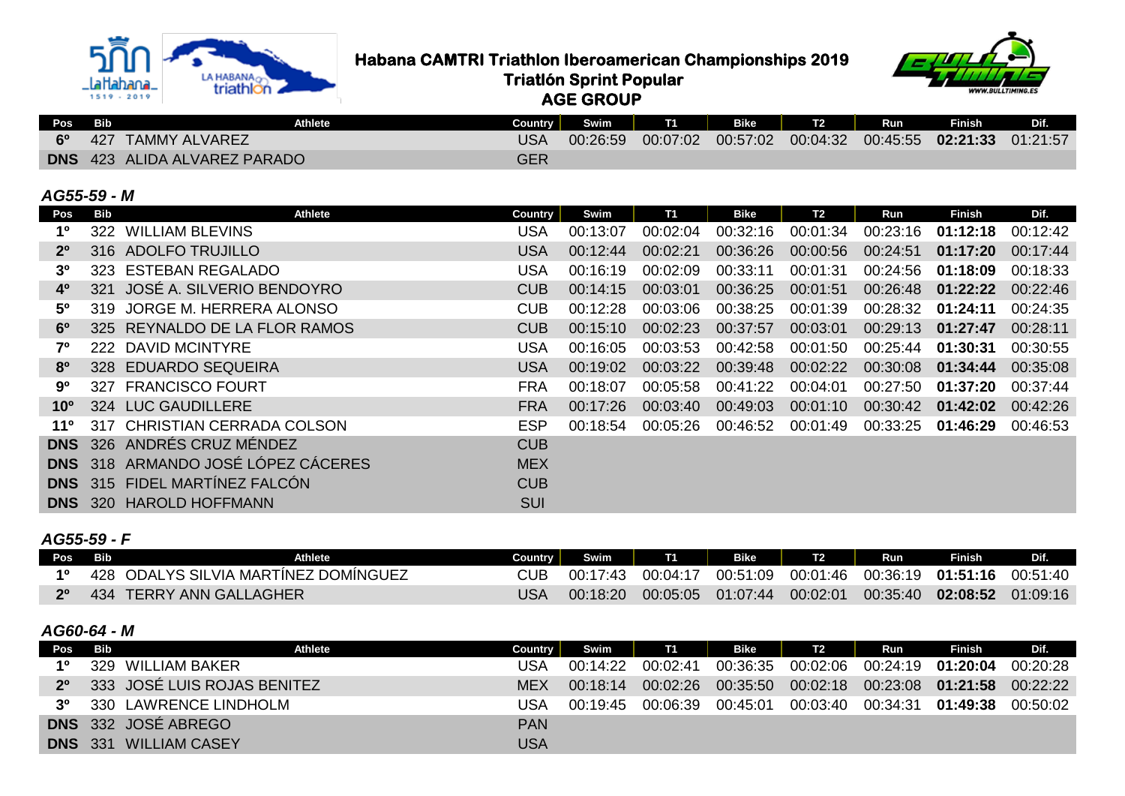

# **Habana CAMTRI Triathlon Iberoamerican Championships 2019**<br>Triatlon Sprint Popular<br>Conduction Conduction

 **Triatlón Sprint Popular**

 **AGE GROUP**



| Pos Bib |     | <b>Athlete</b>                      | Countrv I  | Swim     | <b>T1</b> | Bike     | Run | Finish                              | <b>DIA</b> |
|---------|-----|-------------------------------------|------------|----------|-----------|----------|-----|-------------------------------------|------------|
| 60      | 427 | <b>TAMMY ALVAREZ</b>                | USA        | 00:26:59 | 00:07:02  | 00:57:02 |     | 00:04:32 00:45:55 02:21:33 01:21:57 |            |
|         |     | <b>DNS</b> 423 ALIDA ALVAREZ PARADO | <b>GER</b> |          |           |          |     |                                     |            |

#### *AG55-59 - M*

| Pos             | Bib | Athlete                              | <b>Country</b> | Swim     | <b>T1</b> | <b>Bike</b> | T <sub>2</sub> | Run      | <b>Finish</b> | Dif.     |
|-----------------|-----|--------------------------------------|----------------|----------|-----------|-------------|----------------|----------|---------------|----------|
| 1º              | 322 | <b>WILLIAM BLEVINS</b>               | <b>USA</b>     | 00:13:07 | 00:02:04  | 00:32:16    | 00:01:34       | 00:23:16 | 01:12:18      | 00:12:42 |
| $2^{\circ}$     |     | 316 ADOLFO TRUJILLO                  | <b>USA</b>     | 00:12:44 | 00:02:21  | 00:36:26    | 00:00:56       | 00:24:51 | 01:17:20      | 00:17:44 |
| 3º              |     | 323 ESTEBAN REGALADO                 | <b>USA</b>     | 00:16:19 | 00:02:09  | 00:33:11    | 00:01:31       | 00:24:56 | 01:18:09      | 00:18:33 |
| $4^{\circ}$     | 321 | JOSÉ A. SILVERIO BENDOYRO            | <b>CUB</b>     | 00:14:15 | 00:03:01  | 00:36:25    | 00:01:51       | 00:26:48 | 01:22:22      | 00:22:46 |
| 5 <sup>0</sup>  |     | 319 JORGE M. HERRERA ALONSO          | <b>CUB</b>     | 00:12:28 | 00:03:06  | 00:38:25    | 00:01:39       | 00:28:32 | 01:24:11      | 00:24:35 |
| $6^{\circ}$     |     | 325 REYNALDO DE LA FLOR RAMOS        | <b>CUB</b>     | 00:15:10 | 00:02:23  | 00:37:57    | 00:03:01       | 00:29:13 | 01:27:47      | 00:28:11 |
| 70              |     | 222 DAVID MCINTYRE                   | <b>USA</b>     | 00:16:05 | 00:03:53  | 00:42:58    | 00:01:50       | 00:25:44 | 01:30:31      | 00:30:55 |
| 80              |     | 328 EDUARDO SEQUEIRA                 | <b>USA</b>     | 00:19:02 | 00:03:22  | 00:39:48    | 00:02:22       | 00:30:08 | 01:34:44      | 00:35:08 |
| 9º              |     | 327 FRANCISCO FOURT                  | <b>FRA</b>     | 00:18:07 | 00:05:58  | 00:41:22    | 00:04:01       | 00:27:50 | 01:37:20      | 00:37:44 |
| 10 <sup>o</sup> |     | 324 LUC GAUDILLERE                   | <b>FRA</b>     | 00:17:26 | 00:03:40  | 00:49:03    | 00:01:10       | 00:30:42 | 01:42:02      | 00:42:26 |
| 110             |     | 317 CHRISTIAN CERRADA COLSON         | <b>ESP</b>     | 00:18:54 | 00:05:26  | 00:46:52    | 00:01:49       | 00:33:25 | 01:46:29      | 00:46:53 |
| <b>DNS</b>      |     | 326 ANDRÉS CRUZ MÉNDEZ               | <b>CUB</b>     |          |           |             |                |          |               |          |
| <b>DNS</b>      |     | 318 ARMANDO JOSÉ LÓPEZ CÁCERES       | <b>MEX</b>     |          |           |             |                |          |               |          |
|                 |     | <b>DNS</b> 315 FIDEL MARTINEZ FALCON | <b>CUB</b>     |          |           |             |                |          |               |          |
| <b>DNS</b>      |     | 320 HAROLD HOFFMANN                  | <b>SUI</b>     |          |           |             |                |          |               |          |

#### *AG55-59 - F*

| Pos <sup>1</sup> | Bib<br><b>Athlete</b>                | Country | Swim     | <b>T1</b> | Bike     |          | Run      | <b>Finish</b>                                    | Dif.     |
|------------------|--------------------------------------|---------|----------|-----------|----------|----------|----------|--------------------------------------------------|----------|
|                  | 428 ODALYS SILVIA MARTINEZ DOMINGUEZ |         | 00:17:43 | 00:04:17  |          |          |          | 00:51:09  00:01:46  00:36:19  01:51:16  00:51:40 |          |
| $2^{\circ}$      | 434 TERRY ANN GALLAGHER              |         | 00:18:20 | 00:05:05  | 01:07:44 | 00:02:01 | 00:35:40 | 02:08:52                                         | 01:09:16 |

#### *AG60-64 - M*

| <b>Pos</b>  | <b>Bib</b> | Athlete                     | <b>Country</b> | Swim     | T1       | <b>Bike</b> | T <sub>2</sub> | Run                          | <b>Finish</b> | Dif.     |
|-------------|------------|-----------------------------|----------------|----------|----------|-------------|----------------|------------------------------|---------------|----------|
| 10          | 329        | WILLIAM BAKER               | USA            | 00:14:22 | 00:02:41 | 00:36:35    |                | 00:02:06  00:24:19  01:20:04 |               | 00:20:28 |
| $2^{\circ}$ |            | 333 JOSÉ LUIS ROJAS BENITEZ | <b>MEX</b>     | 00:18:14 | 00:02:26 | 00:35:50    |                | 00:02:18  00:23:08  01:21:58 |               | 00:22:22 |
| 30          |            | 330 LAWRENCE LINDHOLM       | USA            | 00:19:45 | 00:06:39 | 00:45:01    | 00:03:40       | 00:34:31                     | 01:49:38      | 00:50:02 |
|             |            | <b>DNS</b> 332 JOSÉ ABREGO  | <b>PAN</b>     |          |          |             |                |                              |               |          |
| DNS.        | -331       | <b>WILLIAM CASEY</b>        | USA            |          |          |             |                |                              |               |          |